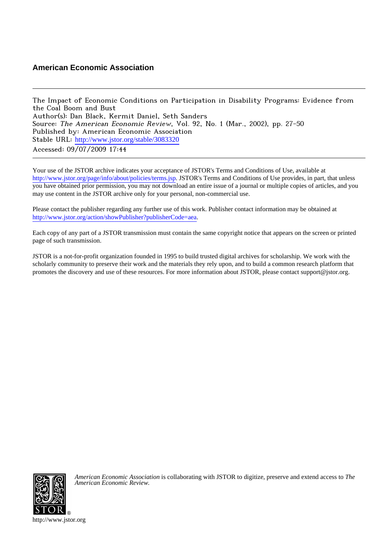## **American Economic Association**

The Impact of Economic Conditions on Participation in Disability Programs: Evidence from the Coal Boom and Bust Author(s): Dan Black, Kermit Daniel, Seth Sanders Source: The American Economic Review, Vol. 92, No. 1 (Mar., 2002), pp. 27-50 Published by: American Economic Association Stable URL: [http://www.jstor.org/stable/3083320](http://www.jstor.org/stable/3083320?origin=JSTOR-pdf) Accessed: 09/07/2009 17:44

Your use of the JSTOR archive indicates your acceptance of JSTOR's Terms and Conditions of Use, available at <http://www.jstor.org/page/info/about/policies/terms.jsp>. JSTOR's Terms and Conditions of Use provides, in part, that unless you have obtained prior permission, you may not download an entire issue of a journal or multiple copies of articles, and you may use content in the JSTOR archive only for your personal, non-commercial use.

Please contact the publisher regarding any further use of this work. Publisher contact information may be obtained at <http://www.jstor.org/action/showPublisher?publisherCode=aea>.

Each copy of any part of a JSTOR transmission must contain the same copyright notice that appears on the screen or printed page of such transmission.

JSTOR is a not-for-profit organization founded in 1995 to build trusted digital archives for scholarship. We work with the scholarly community to preserve their work and the materials they rely upon, and to build a common research platform that promotes the discovery and use of these resources. For more information about JSTOR, please contact support@jstor.org.



*American Economic Association* is collaborating with JSTOR to digitize, preserve and extend access to *The American Economic Review.*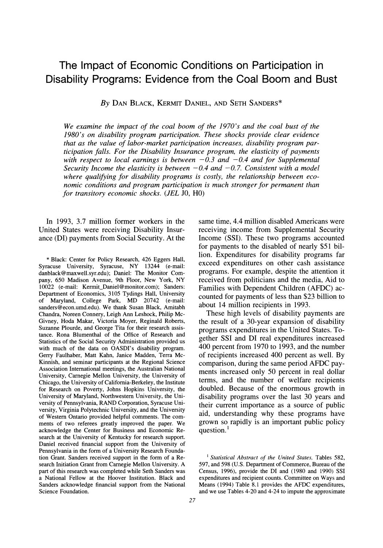# **The Impact of Economic Conditions on Participation in Disability Programs: Evidence from the Coal Boom and Bust**

**By DAN BLACK, KERMIT DANIEL, AND SETH SANDERS\*** 

**We examine the impact of the coal boom of the 1970's and the coal bust of the 1980's on disability program participation. These shocks provide clear evidence that as the value of labor-market participation increases, disability program participation falls. For the Disability Insurance program, the elasticity of payments**  with respect to local earnings is between  $-0.3$  and  $-0.4$  and for Supplemental Security Income the elasticity is between  $-0.4$  and  $-0.7$ . Consistent with a model **where qualifying for disability programs is costly, the relationship between economic conditions and program participation is much stronger for permanent than for transitory economic shocks. (JEL JO, HO)** 

**In 1993, 3.7 million former workers in the United States were receiving Disability Insurance (DI) payments from Social Security. At the** 

**\* Black: Center for Policy Research, 426 Eggers Hall, Syracuse University, Syracuse, NY 13244 (e-mail: danblack@maxwell.syr.edu); Daniel: The Monitor Company, 650 Madison Avenue, 9th Floor, New York, NY 10022 (e-mail: Kermit\_Daniel@monitor.com); Sanders: Department of Economics, 3105 Tydings Hall, University of Maryland, College Park, MD 20742 (e-mail: sanders@econ.umd.edu). We thank Susan Black, Amitabh Chandra, Noreen Connery, Leigh Ann Leshock, Philip Mc-Givney, Hoda Makar, Victoria Moyer, Reginald Roberts, Suzanne Plourde, and George Tita for their research assistance. Rona Blumenthal of the Office of Research and Statistics of the Social Security Administration provided us with much of the data on OASDI's disability program. Gerry Faulhaber, Matt Kahn, Janice Madden, Terra Mc-Kinnish, and seminar participants at the Regional Science Association International meetings, the Australian National University, Carnegie Mellon University, the University of Chicago, the University of California-Berkeley, the Institute for Research on Poverty, Johns Hopkins University, the University of Maryland, Northwestern University, the University of Pennsylvania, RAND Corporation, Syracuse University, Virginia Polytechnic University, and the University of Western Ontario provided helpful comments. The comments of two referees greatly improved the paper. We acknowledge the Center for Business and Economic Research at the University of Kentucky for research support. Daniel received financial support from the University of Pennsylvania in the form of a University Research Foundation Grant. Sanders received support in the form of a Research Initiation Grant from Carnegie Mellon University. A part of this research was completed while Seth Sanders was a National Fellow at the Hoover Institution. Black and Sanders acknowledge financial support from the National Science Foundation.** 

**same time, 4.4 million disabled Americans were receiving income from Supplemental Security Income (SSI). These two programs accounted for payments to the disabled of nearly \$51 billion. Expenditures for disability programs far exceed expenditures on other cash assistance programs. For example, despite the attention it received from politicians and the media, Aid to Families with Dependent Children (AFDC) accounted for payments of less than \$23 billion to about 14 million recipients in 1993.** 

**These high levels of disability payments are the result of a 30-year expansion of disability programs expenditures in the United States. Together SSI and DI real expenditures increased 400 percent from 1970 to 1993, and the number of recipients increased 400 percent as well. By comparison, during the same period AFDC payments increased only 50 percent in real dollar terms, and the number of welfare recipients doubled. Because of the enormous growth in disability programs over the last 30 years and their current importance as a source of public aid, understanding why these programs have grown so rapidly is an important public policy question. 1** 

**' Statistical Abstract of the United States, Tables 582, 597, and 598 (U.S. Department of Commerce, Bureau of the Census, 1996), provide the DI and (1980 and 1990) SSI expenditures and recipient counts. Committee on Ways and Means (1994) Table 8.1 provides the AFDC expenditures, and we use Tables 4-20 and 4-24 to impute the approximate**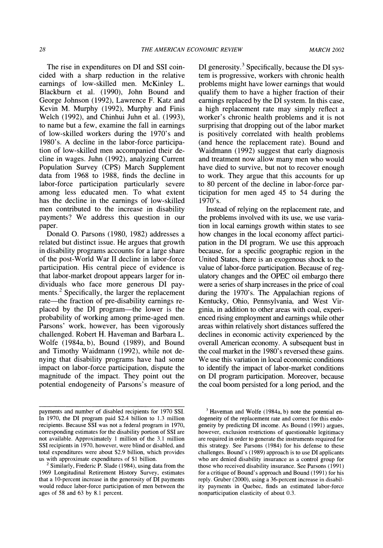**The rise in expenditures on DI and SSI coincided with a sharp reduction in the relative earnings of low-skilled men. McKinley L. Blackburn et al. (1990), John Bound and George Johnson (1992), Lawrence F. Katz and Kevin M. Murphy (1992), Murphy and Finis Welch (1992), and Chinhui Juhn et al. (1993), to name but a few, examine the fall in earnings of low-skilled workers during the 1970's and 1980's. A decline in the labor-force participation of low-skilled men accompanied their decline in wages. Juhn (1992), analyzing Current Population Survey (CPS) March Supplement data from 1968 to 1988, finds the decline in labor-force participation particularly severe among less educated men. To what extent has the decline in the earnings of low-skilled men contributed to the increase in disability payments? We address this question in our paper.** 

**Donald 0. Parsons (1980, 1982) addresses a related but distinct issue. He argues that growth in disability programs accounts for a large share of the post-World War II decline in labor-force participation. His central piece of evidence is that labor-market dropout appears larger for individuals who face more generous DI payments.2 Specifically, the larger the replacement rate-the fraction of pre-disability earnings replaced by the DI program-the lower is the probability of working among prime-aged men. Parsons' work, however, has been vigorously challenged. Robert H. Haveman and Barbara L. Wolfe (1984a,b), Bound (1989), and Bound and Timothy Waidmann (1992), while not denying that disability programs have had some impact on labor-force participation, dispute the magnitude of the impact. They point out the potential endogeneity of Parsons's measure of**  **DI generosity.3 Specifically, because the DI system is progressive, workers with chronic health problems might have lower earnings that would qualify them to have a higher fraction of their earnings replaced by the DI system. In this case, a high replacement rate may simply reflect a worker's chronic health problems and it is not surprising that dropping out of the labor market is positively correlated with health problems (and hence the replacement rate). Bound and Waidmann (1992) suggest that early diagnosis and treatment now allow many men who would have died to survive, but not to recover enough to work. They argue that this accounts for up to 80 percent of the decline in labor-force participation for men aged 45 to 54 during the 1970's.** 

**Instead of relying on the replacement rate, and the problems involved with its use, we use variation in local earnings growth within states to see how changes in the local economy affect participation in the DI program. We use this approach because, for a specific geographic region in the United States, there is an exogenous shock to the value of labor-force participation. Because of regulatory changes and the OPEC oil embargo there were a series of sharp increases in the price of coal during the 1970's. The Appalachian regions of Kentucky, Ohio, Pennsylvania, and West Virginia, in addition to other areas with coal, experienced rising employment and earnings while other areas within relatively short distances suffered the declines in economic activity experienced by the overall American economy. A subsequent bust in the coal market in the 1980's reversed these gains. We use this variation in local economic conditions to identify the impact of labor-market conditions on DI program participation. Moreover, because the coal boom persisted for a long period, and the** 

**payments and number of disabled recipients for 1970 SSI. In 1970, the DI program paid \$2.4 billion to 1.3 million recipients. Because SSI was not a federal program in 1970, corresponding estimates for the disability portion of SSI are not available. Approximately 1 million of the 3.1 million SSI recipients in 1970, however, were blind or disabled, and total expenditures were about \$2.9 billion, which provides us with approximate expenditures of \$1 billion.** 

**<sup>2</sup>Similarly, Frederic P. Slade (1984), using data from the 1969 Longitudinal Retirement History Survey, estimates that a 10-percent increase in the generosity of DI payments would reduce labor-force participation of men between the ages of 58 and 63 by 8.1 percent.** 

**<sup>3</sup> Haveman and Wolfe (1984a, b) note the potential endogeneity of the replacement rate and correct for this endogeneity by predicting DI income. As Bound (1991) argues, however, exclusion restrictions of questionable legitimacy are required in order to generate the instruments required for this strategy. See Parsons (1984) for his defense to these challenges. Bound's (1989) approach is to use DI applicants who are denied disability insurance as a control group for those who received disability insurance. See Parsons (1991) for a critique of Bound's approach and Bound (1991) for his reply. Gruber (2000), using a 36-percent increase in disability payments in Quebec, finds an estimated labor-force nonparticipation elasticity of about 0.3.**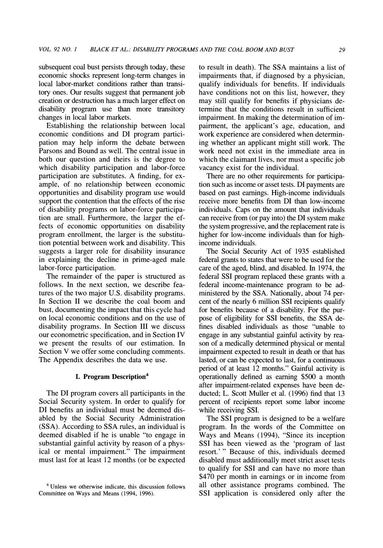**subsequent coal bust persists through today, these economic shocks represent long-term changes in local labor-market conditions rather than transitory ones. Our results suggest that permanent job creation or destruction has a much larger effect on disability program use than more transitory changes in local labor markets.** 

**Establishing the relationship between local economic conditions and DI program participation may help inform the debate between Parsons and Bound as well. The central issue in both our question and theirs is the degree to which disability participation and labor-force participation are substitutes. A finding, for example, of no relationship between economic opportunities and disability program use would support the contention that the effects of the rise of disability programs on labor-force participation are small. Furthermore, the larger the effects of economic opportunities on disability program enrollment, the larger is the substitution potential between work and disability. This suggests a larger role for disability insurance in explaining the decline in prime-aged male labor-force participation.** 

**The remainder of the paper is structured as follows. In the next section, we describe features of the two major U.S. disability programs. In Section II we describe the coal boom and bust, documenting the impact that this cycle had on local economic conditions and on the use of disability programs. In Section III we discuss our econometric specification, and in Section IV we present the results of our estimation. In Section V we offer some concluding comments. The Appendix describes the data we use.** 

### **I. Program Description4**

**The DI program covers all participants in the Social Security system. In order to qualify for DI benefits an individual must be deemed disabled by the Social Security Administration (SSA). According to SSA rules, an individual is deemed disabled if he is unable "to engage in substantial gainful activity by reason of a physical or mental impairment." The impairment must last for at least 12 months (or be expected** 

**to result in death). The SSA maintains a list of impairments that, if diagnosed by a physician, qualify individuals for benefits. If individuals have conditions not on this list, however, they may still qualify for benefits if physicians determine that the conditions result in sufficient impairment. In making the determination of impairment, the applicant's age, education, and work experience are considered when determining whether an applicant might still work. The work need not exist in the immediate area in which the claimant lives, nor must a specific job vacancy exist for the individual.** 

**There are no other requirements for participation such as income or asset tests. DI payments are based on past earnings. High-income individuals receive more benefits from DI than low-income individuals. Caps on the amount that individuals can receive from (or pay into) the DI system make the system progressive, and the replacement rate is higher for low-income individuals than for highincome individuals.** 

**The Social Security Act of 1935 established federal grants to states that were to be used for the care of the aged, blind, and disabled. In 1974, the federal SSI program replaced these grants with a federal income-maintenance program to be administered by the SSA. Nationally, about 74 percent of the nearly 6 million SSI recipients qualify for benefits because of a disability. For the purpose of eligibility for SSI benefits, the SSA defines disabled individuals as those "unable to engage in any substantial gainful activity by reason of a medically determined physical or mental impairment expected to result in death or that has lasted, or can be expected to last, for a continuous period of at least 12 months." Gainful activity is operationally defined as earning \$500 a month after impairment-related expenses have been deducted; L. Scott Muller et al. (1996) find that 13 percent of recipients report some labor income while receiving SSI.** 

**The SSI program is designed to be a welfare program. In the words of the Committee on Ways and Means (1994), "Since its inception SSI has been viewed as the 'program of last resort.' " Because of this, individuals deemed disabled must additionally meet strict asset tests to qualify for SSI and can have no more than \$470 per month in earnings or in income from all other assistance programs combined. The SSI application is considered only after the** 

**<sup>4</sup> Unless we otherwise indicate, this discussion follows Committee on Ways and Means (1994, 1996).**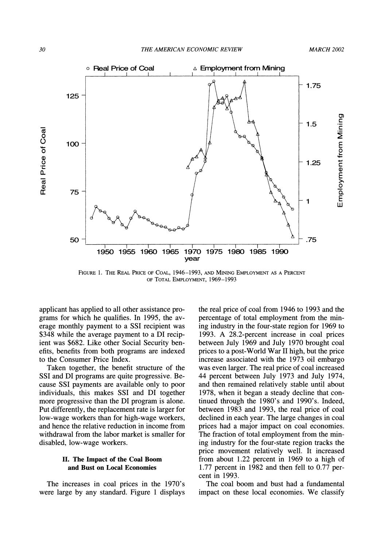

FIGURE 1. THE REAL PRICE OF COAL, 1946-1993, AND MINING EMPLOYMENT AS A PERCENT **OF TOTAL EmPLOYMENT, 1969-1993** 

**applicant has applied to all other assistance programs for which he qualifies. In 1995, the average monthly payment to a SSI recipient was \$348 while the average payment to a DI recipient was \$682. Like other Social Security benefits, benefits from both programs are indexed to the Consumer Price Index.** 

**Taken together, the benefit structure of the SSI and DI programs are quite progressive. Because SSI payments are available only to poor individuals, this makes SSI and DI together more progressive than the DI program is alone. Put differently, the replacement rate is larger for low-wage workers than for high-wage workers, and hence the relative reduction in income from withdrawal from the labor market is smaller for disabled, low-wage workers.** 

## **II. The Impact of the Coal Boom and Bust on Local Economies**

**The increases in coal prices in the 1970's were large by any standard. Figure 1 displays** 

**the real price of coal from 1946 to 1993 and the percentage of total employment from the mining industry in the four-state region for 1969 to 1993. A 28.2-percent increase in coal prices between July 1969 and July 1970 brought coal prices to a post-World War II high, but the price increase associated with the 1973 oil embargo was even larger. The real price of coal increased 44 percent between July 1973 and July 1974, and then remained relatively stable until about 1978, when it began a steady decline that continued through the 1980's and 1990's. Indeed, between 1983 and 1993, the real price of coal declined in each year. The large changes in coal prices had a major impact on coal economies. The fraction of total employment from the mining industry for the four-state region tracks the price movement relatively well. It increased from about 1.22 percent in 1969 to a high of 1.77 percent in 1982 and then fell to 0.77 percent in 1993.** 

**The coal boom and bust had a fundamental impact on these local economies. We classify**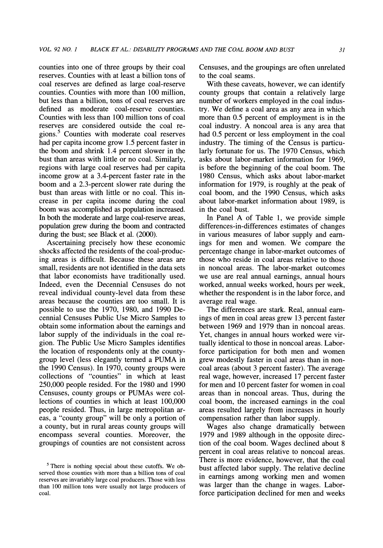**counties into one of three groups by their coal reserves. Counties with at least a billion tons of coal reserves are defined as large coal-reserve counties. Counties with more than 100 million, but less than a billion, tons of coal reserves are defined as moderate coal-reserve counties. Counties with less than 100 million tons of coal reserves are considered outside the coal regions. Counties with moderate coal reserves had per capita income grow 1.5 percent faster in the boom and shrink 1.4 percent slower in the bust than areas with little or no coal. Similarly, regions with large coal reserves had per capita income grow at a 3.4-percent faster rate in the boom and a 2.3-percent slower rate during the bust than areas with little or no coal. This increase in per capita income during the coal boom was accomplished as population increased. In both the moderate and large coal-reserve areas, population grew during the boom and contracted during the bust; see Black et al. (2000).** 

**Ascertaining precisely how these economic shocks affected the residents of the coal-producing areas is difficult. Because these areas are small, residents are not identified in the data sets that labor economists have traditionally used. Indeed, even the Decennial Censuses do not reveal individual county-level data from these areas because the counties are too small. It is possible to use the 1970, 1980, and 1990 Decennial Censuses Public Use Micro Samples to obtain some information about the earnings and labor supply of the individuals in the coal region. The Public Use Micro Samples identifies the location of respondents only at the countygroup level (less elegantly termed a PUMA in the 1990 Census). In 1970, county groups were collections of "counties" in which at least 250,000 people resided. For the 1980 and 1990 Censuses, county groups or PUMAs were collections of counties in which at least 100,000 people resided. Thus, in large metropolitan areas, a "county group" will be only a portion of a county, but in rural areas county groups will encompass several counties. Moreover, the groupings of counties are not consistent across** 

**Censuses, and the groupings are often unrelated to the coal seams.** 

**With these caveats, however, we can identify county groups that contain a relatively large number of workers employed in the coal industry. We define a coal area as any area in which more than 0.5 percent of employment is in the coal industry. A noncoal area is any area that had 0.5 percent or less employment in the coal industry. The timing of the Census is particularly fortunate for us. The 1970 Census, which asks about labor-market information for 1969, is before the beginning of the coal boom. The 1980 Census, which asks about labor-market information for 1979, is roughly at the peak of coal boom, and the 1990 Census, which asks about labor-market information about 1989, is in the coal bust.** 

**In Panel A of Table 1, we provide simple differences-in-differences estimates of changes in various measures of labor supply and earnings for men and women. We compare the percentage change in labor-market outcomes of those who reside in coal areas relative to those in noncoal areas. The labor-market outcomes we use are real annual earnings, annual hours worked, annual weeks worked, hours per week, whether the respondent is in the labor force, and average real wage.** 

**The differences are stark. Real, annual earnings of men in coal areas grew 13 percent faster between 1969 and 1979 than in noncoal areas. Yet, changes in annual hours worked were virtually identical to those in noncoal areas. Laborforce participation for both men and women grew modestly faster in coal areas than in noncoal areas (about 3 percent faster). The average real wage, however, increased 17 percent faster for men and 10 percent faster for women in coal areas than in noncoal areas. Thus, during the coal boom, the increased earnings in the coal areas resulted largely from increases in hourly compensation rather than labor supply.** 

**Wages also change dramatically between 1979 and 1989 although in the opposite direction of the coal boom. Wages declined about 8 percent in coal areas relative to noncoal areas. There is more evidence, however, that the coal bust affected labor supply. The relative decline in earnings among working men and women was larger than the change in wages. Laborforce participation declined for men and weeks** 

**<sup>5</sup> There is nothing special about these cutoffs. We observed those counties with more than a billion tons of coal reserves are invariably large coal producers. Those with less than 100 million tons were usually not large producers of coal.**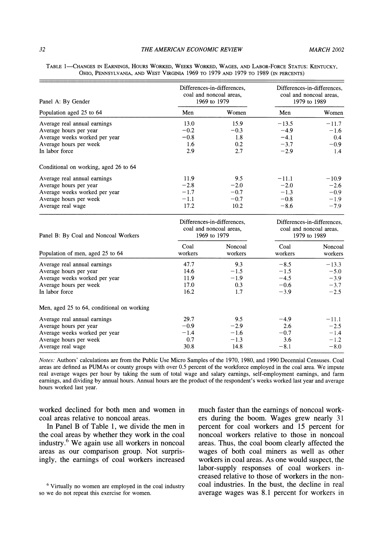| Panel A: By Gender                    |        | Differences-in-differences.<br>coal and noncoal areas.<br>1969 to 1979 |         | Differences-in-differences.<br>coal and noncoal areas,<br>1979 to 1989 |
|---------------------------------------|--------|------------------------------------------------------------------------|---------|------------------------------------------------------------------------|
| Population aged 25 to 64              | Men    | Women                                                                  | Men     | Women                                                                  |
| Average real annual earnings          | 13.0   | 15.9                                                                   | $-13.5$ | $-11.7$                                                                |
| Average hours per year                | $-0.2$ | $-0.3$                                                                 | $-4.9$  | $-1.6$                                                                 |
| Average weeks worked per year         | $-0.8$ | 1.8                                                                    | $-4.1$  | 0.4                                                                    |
| Average hours per week                | 1.6    | 0.2                                                                    | $-3.7$  | $-0.9$                                                                 |
| In labor force                        | 2.9    | 2.7                                                                    | $-2.9$  | 1.4                                                                    |
| Conditional on working, aged 26 to 64 |        |                                                                        |         |                                                                        |
| Average real annual earnings          | 11.9   | 9.5                                                                    | $-11.1$ | $-10.9$                                                                |
| Average hours per year                | $-2.8$ | $-2.0$                                                                 | $-2.0$  | $-2.6$                                                                 |
| Average weeks worked per year         | $-1.7$ | $-0.7$                                                                 | $-1.3$  | $-0.9$                                                                 |
| Average hours per week                | $-1.1$ | $-0.7$                                                                 | $-0.8$  | $-1.9$                                                                 |
| Average real wage                     | 17.2   | 10.2                                                                   | $-8.6$  | $-7.9$                                                                 |

**TABLE 1-CHANGES IN EARNINGS, HOURS WORKED, WEEKS WORKED, WAGES, AND LABOR-FORCE STATUS: KENTUCKY, OHIO, PENNSYLVANIA, AND WEST VIRGINIA 1969 TO 1979 AND 1979 TO 1989 (IN PERCENTS)** 

| Panel B: By Coal and Noncoal Workers       | Differences-in-differences.<br>coal and noncoal areas.<br>1969 to 1979 |                    | Differences-in-differences.<br>coal and noncoal areas.<br>1979 to 1989 |                    |
|--------------------------------------------|------------------------------------------------------------------------|--------------------|------------------------------------------------------------------------|--------------------|
| Population of men, aged 25 to 64           | Coal<br>workers                                                        | Noncoal<br>workers | Coal<br>workers                                                        | Noncoal<br>workers |
| Average real annual earnings               | 47.7                                                                   | 9.3                | $-8.5$                                                                 | $-13.3$            |
| Average hours per year                     | 14.6                                                                   | $-1.5$             | $-1.5$                                                                 | $-5.0$             |
| Average weeks worked per year              | 11.9                                                                   | $-1.9$             | $-4.5$                                                                 | $-3.9$             |
| Average hours per week                     | 17.0                                                                   | 0.3                | $-0.6$                                                                 | $-3.7$             |
| In labor force                             | 16.2                                                                   | 1.7                | $-3.9$                                                                 | $-2.5$             |
| Men, aged 25 to 64, conditional on working |                                                                        |                    |                                                                        |                    |
| Average real annual earnings               | 29.7                                                                   | 9.5                | $-4.9$                                                                 | $-11.1$            |
| Average hours per year                     | $-0.9$                                                                 | $-2.9$             | 2.6                                                                    | $-2.5$             |
| Average weeks worked per year              | $-1.4$                                                                 | $-1.6$             | $-0.7$                                                                 | $-1.4$             |
| Average hours per week                     | 0.7                                                                    | $-1.3$             | 3.6                                                                    | $-1.2$             |
| Average real wage                          | 30.8                                                                   | 14.8               | $-8.1$                                                                 | $-8.0$             |

**Notes: Authors' calculations are from the Public Use Micro Samples of the 1970, 1980, and 1990 Decennial Censuses. Coal areas are defined as PUMAs or county groups with over 0.5 percent of the workforce employed in the coal area. We impute real average wages per hour by taking the sum of total wage and salary earnings, self-employment earnings, and farm earnings, and dividing by annual hours. Annual hours are the product of the respondent's weeks worked last year and average hours worked last year.** 

**worked declined for both men and women in coal areas relative to noncoal areas.** 

**In Panel B of Table 1, we divide the men in the coal areas by whether they work in the coal industry.6 We again use all workers in noncoal areas as our comparison group. Not surprisingly, the earnings of coal workers increased**  **much faster than the earnings of noncoal workers during the boom. Wages grew nearly 31 percent for coal workers and 15 percent for noncoal workers relative to those in noncoal areas. Thus, the coal boom clearly affected the wages of both coal miners as well as other workers in coal areas. As one would suspect, the labor-supply responses of coal workers increased relative to those of workers in the noncoal industries. In the bust, the decline in real average wages was 8.1 percent for workers in** 

**<sup>6</sup>Virtually no women are employed in the coal industry so we do not repeat this exercise for women.**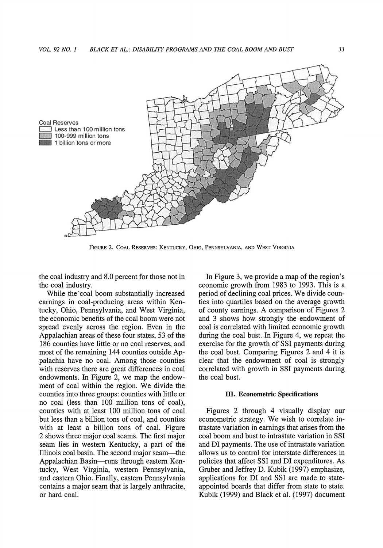

**FIGuRE 2. COAL RESERVES: KENTUCKY, OHIO, PENNSYLVANIA, AND WEST VIRGINIA** 

**the coal industry and 8.0 percent for those not in the coal industry.** 

**While the coal boom substantially increased earnings in coal-producing areas within Kentucky, Ohio, Pennsylvania, and West Virginia, the economic benefits of the coal boom were not spread evenly across the region. Even in the Appalachian areas of these four states, 53 of the 186 counties have little or no coal reserves, and most of the remaining 144 counties outside Appalachia have no coal. Among those counties with reserves there are great differences in coal endowments. In Figure 2, we map the endowment of coal within the region. We divide the counties into three groups: counties with little or no coal (less than 100 million tons of coal), counties with at least 100 million tons of coal but less than a billion tons of coal, and counties with at least a billion tons of coal. Figure 2 shows three major coal seams. The first major seam lies in western Kentucky, a part of the Illinois coal basin. The second major seam-the**  Appalachian Basin-runs through eastern Ken**tucky, West Virginia, western Pennsylvania, and eastern Ohio. Finally, eastern Pennsylvania contains a major seam that is largely anthracite, or hard coal.** 

**In Figure 3, we provide a map of the region's economic growth from 1983 to 1993. This is a period of declining coal prices. We divide counties into quartiles based on the average growth of county earnings. A comparison of Figures 2 and 3 shows how strongly the endowment of coal is correlated with limited economic growth during the coal bust. In Figure 4, we repeat the exercise for the growth of SSI payments during the coal bust. Comparing Figures 2 and 4 it is clear that the endowment of coal is strongly correlated with growth in SSI payments during the coal bust.** 

#### **III. Econometric Specifications**

**Figures 2 through 4 visually display our econometric strategy. We wish to correlate intrastate variation in earnings that arises from the coal boom and bust to intrastate variation in SSI and DI payments. The use of intrastate variation allows us to control for interstate differences in policies that affect SSI and DI expenditures. As Gruber and Jeffrey D. Kubik (1997) emphasize, applications for DI and SSI are made to stateappointed boards that differ from state to state. Kubik (1999) and Black et al. (1997) document**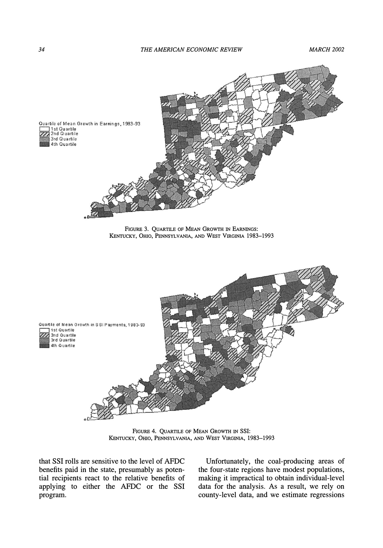

**FIGURE 4. QUARTILE OF MEAN GROWTH IN SSI: KENTUCKY, OHIO, PENNSYLVANIA, AND WEST VIRGINIA, 1983-1993** 

**that SSI rolls are sensitive to the level of AFDC benefits paid in the state, presumably as potential recipients react to the relative benefits of applying to either the AFDC or the SSI program.** 

**Unfortunately, the coal-producing areas of the four-state regions have modest populations, making it impractical to obtain individual-level data for the analysis. As a result, we rely on county-level data, and we estimate regressions**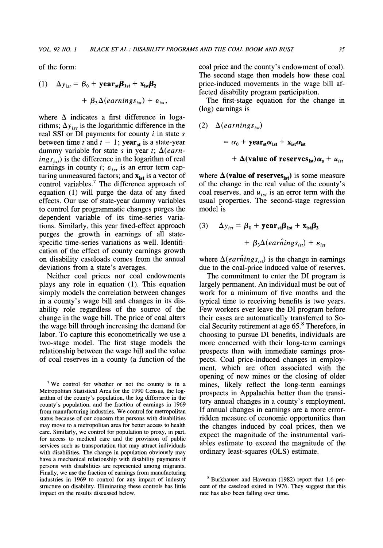**of the form:** 

(1) 
$$
\Delta y_{ist} = \beta_0 + \textbf{year}_{st}\beta_{1st} + \textbf{x}_{ist}\beta_2 + \beta_3 \Delta(earning_{ist}) + \varepsilon_{ist}.
$$

where  $\Delta$  indicates a first difference in logarithms;  $\Delta y_{ist}$  is the logarithmic difference in the **real SSI or DI payments for county i in state s between time t and**  $t - 1$ **; <b>year**<sub>st</sub> is a state-year dummy variable for state s in year t;  $\Delta$ (earn $ings<sub>is</sub>$ ) is the difference in the logarithm of real earnings in county *i*;  $\varepsilon_{ist}$  is an error term capturing unmeasured factors; and  $\mathbf{x}_{\text{ist}}$  is a vector of **control variables.7 The difference approach of equation (1) will purge the data of any fixed effects. Our use of state-year dummy variables to control for programmatic changes purges the dependent variable of its time-series variations. Similarly, this year fixed-effect approach purges the growth in earnings of all statespecific time-series variations as well. Identification of the effect of county earnings growth on disability caseloads comes from the annual deviations from a state's averages.** 

**Neither coal prices nor coal endowments plays any role in equation (1). This equation simply models the correlation between changes in a county's wage bill and changes in its disability role regardless of the source of the change in the wage bill. The price of coal alters the wage bill through increasing the demand for labor. To capture this econometrically we use a two-stage model. The first stage models the relationship between the wage bill and the value of coal reserves in a county (a function of the**  **coal price and the county's endowment of coal). The second stage then models how these coal price-induced movements in the wage bill affected disability program participation.** 

**The first-stage equation for the change in (log) earnings is** 

(2) 
$$
\Delta(earnings_{is})
$$
  
=  $\alpha_0$  + year<sub>st</sub> $\alpha_{\text{1st}}$  + x<sub>ist</sub> $\alpha_{\text{ist}}$   
+ A(value of reserves<sub>ist</sub>) $\alpha_s$  + u<sub>ist</sub>

where  $\Delta$  (value of reserves<sub>ist</sub>) is some measure **of the change in the real value of the county's**  coal reserves, and  $u_{ist}$  is an error term with the **usual properties. The second-stage regression model is** 

(3) 
$$
\Delta y_{ist} = \beta_0 + \textbf{year}_{st}\beta_{1st} + \textbf{x}_{ist}\beta_2 + \beta_3\Delta(earnings_{ist}) + \varepsilon_{ist}
$$

where  $\Delta(ear\hat{n}ings_{ist})$  is the change in earnings **due to the coal-price induced value of reserves.** 

**The commitment to enter the DI program is largely permanent. An individual must be out of work for a minimum of five months and the typical time to receiving benefits is two years. Few workers ever leave the DI program before their cases are automatically transferred to Social Security retirement at age 65.8 Therefore, in choosing to pursue DI benefits, individuals are more concerned with their long-term earnings prospects than with immediate earnings prospects. Coal price-induced changes in employment, which are often associated with the opening of new mines or the closing of older mines, likely reflect the long-term earnings prospects in Appalachia better than the transitory annual changes in a county's employment. If annual changes in earnings are a more errorridden measure of economic opportunities than the changes induced by coal prices, then we expect the magnitude of the instrumental variables estimate to exceed the magnitude of the ordinary least-squares (OLS) estimate.** 

**<sup>7</sup>We control for whether or not the county is in a Metropolitan Statistical Area for the 1990 Census, the logarithm of the county's population, the log difference in the county's population, and the fraction of earnings in 1969 from manufacturing industries. We control for metropolitan status because of our concern that persons with disabilities may move to a metropolitan area for better access to health care. Similarly, we control for population to proxy, in part, for access to medical care and the provision of public services such as transportation that may attract individuals with disabilities. The change in population obviously may have a mechanical relationship with disability payments if persons with disabilities are represented among migrants. Finally, we use the fraction of earnings from manufacturing industries in 1969 to control for any impact of industry structure on disability. Eliminating these controls has little impact on the results discussed below.** 

<sup>&</sup>lt;sup>8</sup> Burkhauser and Haveman (1982) report that 1.6 per**cent of the caseload exited in 1976. They suggest that this rate has also been falling over time.**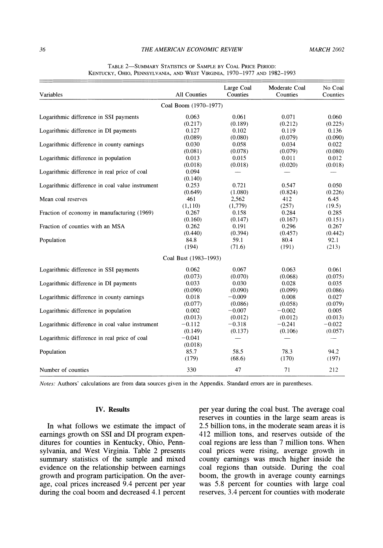| Variables                                       | All Counties          | Large Coal<br>Counties | Moderate Coal<br>Counties | No Coal<br>Counties |
|-------------------------------------------------|-----------------------|------------------------|---------------------------|---------------------|
|                                                 |                       |                        |                           |                     |
|                                                 | Coal Boom (1970-1977) |                        |                           |                     |
| Logarithmic difference in SSI payments          | 0.063                 | 0.061                  | 0.071                     | 0.060               |
|                                                 | (0.217)               | (0.189)                | (0.212)                   | (0.225)             |
| Logarithmic difference in DI payments           | 0.127                 | 0.102                  | 0.119                     | 0.136               |
|                                                 | (0.089)               | (0.080)                | (0.079)                   | (0.090)             |
| Logarithmic difference in county earnings       | 0.030                 | 0.058                  | 0.034                     | 0.022               |
|                                                 | (0.081)               | (0.078)                | (0.079)                   | (0.080)             |
| Logarithmic difference in population            | 0.013                 | 0.015                  | 0.011                     | 0.012               |
|                                                 | (0.018)               | (0.018)                | (0.020)                   | (0.018)             |
| Logarithmic difference in real price of coal    | 0.094                 |                        |                           |                     |
|                                                 | (0.140)               |                        |                           |                     |
| Logarithmic difference in coal value instrument | 0.253                 | 0.721                  | 0.547                     | 0.050               |
|                                                 | (0.649)               | (1.080)                | (0.824)                   | (0.226)             |
| Mean coal reserves                              | 461                   | 2,562                  | 412                       | 6.45                |
|                                                 | (1,110)               | (1,779)                | (257)                     | (19.5)              |
| Fraction of economy in manufacturing (1969)     | 0.267                 | 0.158                  | 0.284                     | 0.285               |
|                                                 | (0.160)               | (0.147)                | (0.167)                   | (0.151)             |
| Fraction of counties with an MSA                | 0.262                 | 0.191                  | 0.296                     | 0.267               |
|                                                 | (0.440)               | (0.394)                | (0.457)                   | (0.442)             |
| Population                                      | 84.8                  | 59.1                   | 80.4                      | 92.1                |
|                                                 | (194)                 | (71.6)                 | (191)                     | (213)               |
|                                                 | Coal Bust (1983-1993) |                        |                           |                     |
| Logarithmic difference in SSI payments          | 0.062                 | 0.067                  | 0.063                     | 0.061               |
|                                                 | (0.073)               | (0.070)                | (0.068)                   | (0.075)             |
| Logarithmic difference in DI payments           | 0.033                 | 0.030                  | 0.028                     | 0.035               |
|                                                 | (0.090)               | (0.090)                | (0.099)                   | (0.086)             |
| Logarithmic difference in county earnings       | 0.018                 | $-0.009$               | 0.008                     | 0.027               |
|                                                 | (0.077)               | (0.086)                | (0.058)                   | (0.079)             |
| Logarithmic difference in population            | 0.002                 | $-0.007$               | $-0.002$                  | 0.005               |
|                                                 | (0.013)               | (0.012)                | (0.012)                   | (0.013)             |
| Logarithmic difference in coal value instrument | $-0.112$              | $-0.318$               | $-0.241$                  | $-0.022$            |
|                                                 | (0.149)               | (0.137)                | (0.106)                   | (0.057)             |
| Logarithmic difference in real price of coal    | $-0.041$              |                        |                           | ----                |
|                                                 | (0.018)               |                        |                           |                     |
| Population                                      | 85.7                  | 58.5                   | 78.3                      | 94.2                |
|                                                 | (179)                 | (68.6)                 | (170)                     | (197)               |
| Number of counties                              | 330                   | 47                     | 71                        | 212                 |

#### **TABLE 2-SUMMARY STATISTICS OF SAMPLE BY COAL PRICE PERIOD: KENTUCKY, OHIO, PENNSYLVANIA, AND WEST VIRGINIA, 1970-1977 AND 1982-1993**

**Notes: Authors' calculations are from data sources given in the Appendix. Standard errors are in parentheses.** 

#### **IV. Results**

**In what follows we estimate the impact of earnings growth on SSI and DI program expenditures for counties in Kentucky, Ohio, Pennsylvania, and West Virginia. Table 2 presents summary statistics of the sample and mixed evidence on the relationship between earnings growth and program participation. On the average, coal prices increased 9.4 percent per year during the coal boom and decreased 4.1 percent** 

**per year during the coal bust. The average coal reserves in counties in the large seam areas is 2.5 billion tons, in the moderate seam areas it is 412 million tons, and reserves outside of the coal regions are less than 7 million tons. When coal prices were rising, average growth in county earnings was much higher inside the coal regions than outside. During the coal boom, the growth in average county earnings was 5.8 percent for counties with large coal reserves, 3.4 percent for counties with moderate**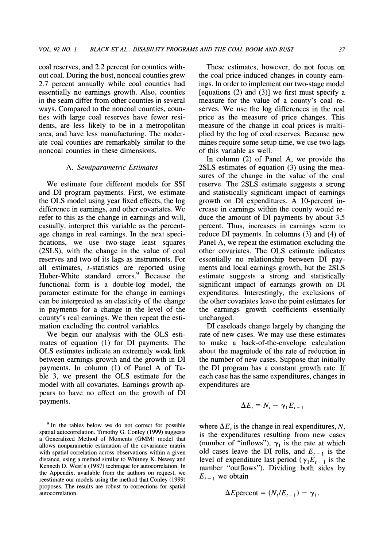**coal reserves, and 2.2 percent for counties without coal. During the bust, noncoal counties grew 2.7 percent annually while coal counties had essentially no earnings growth. Also, counties in the seam differ from other counties in several ways. Compared to the noncoal counties, counties with large coal reserves have fewer residents, are less likely to be in a metropolitan area, and have less manufacturing. The moderate coal counties are remarkably similar to the noncoal counties in these dimensions.** 

#### **A. Semiparametric Estimates**

**We estimate four different models for SSI and DI program payments. First, we estimate the OLS model using year fixed effects, the log difference in earnings, and other covariates. We refer to this as the change in earnings and will, casually, interpret this variable as the percentage change in real earnings. In the next specifications, we use two-stage least squares (2SLS), with the change in the value of coal reserves and two of its lags as instruments. For all estimates, t-statistics are reported using Huber-White standard errors.9 Because the functional form is a double-log model, the parameter estimate for the change in earnings can be interpreted as an elasticity of the change in payments for a change in the level of the county's real earnings. We then repeat the estimation excluding the control variables.** 

**We begin our analysis with the OLS estimates of equation (1) for DI payments. The OLS estimates indicate an extremely weak link between earnings growth and the growth in DI payments. In column (1) of Panel A of Table 3, we present the OLS estimate for the model with all covariates. Earnings growth appears to have no effect on the growth of DI payments.** 

**These estimates, however, do not focus on the coal price-induced changes in county earnings. In order to implement our two-stage model [equations (2) and (3)] we first must specify a measure for the value of a county's coal reserves. We use the log differences in the real price as the measure of price changes. This measure of the change in coal prices is multiplied by the log of coal reserves. Because new mines require some setup time, we use two lags of this variable as well.** 

**In column (2) of Panel A, we provide the 2SLS estimates of equation (3) using the measures of the change in the value of the coal reserve. The 2SLS estimate suggests a strong and statistically significant impact of earnings growth on DI expenditures. A 10-percent increase in earnings within the county would reduce the amount of DI payments by about 3.5 percent. Thus, increases in earnings seem to reduce DI payments. In columns (3) and (4) of Panel A, we repeat the estimation excluding the other covariates. The OLS estimate indicates essentially no relationship between DI payments and local earnings growth, but the 2SLS estimate suggests a strong and statistically significant impact of earnings growth on DI expenditures. Interestingly, the exclusions of the other covariates leave the point estimates for the earnings growth coefficients essentially unchanged.** 

**DI caseloads change largely by changing the rate of new cases. We may use these estimates to make a back-of-the-envelope calculation about the magnitude of the rate of reduction in the number of new cases. Suppose that initially the DI program has a constant growth rate. If each case has the same expenditures, changes in expenditures are** 

$$
\Delta E_t = N_t - \gamma_1 E_{t-1}
$$

where  $\Delta E_t$  is the change in real expenditures,  $N_t$ **is the expenditures resulting from new cases**  (number of "inflows"),  $\gamma_1$  is the rate at which old cases leave the DI rolls, and  $E_{t-1}$  is the level of expenditure last period ( $\gamma_1 E_{t-1}$  is the **number "outflows"). Dividing both sides by**   $E_{t-1}$  we obtain

$$
\Delta E \text{percent} = (N_t/E_{t-1}) - \gamma_1.
$$

**<sup>9</sup> In the tables below we do not correct for possible spatial autocorrelation. Timothy G. Conley (1999) suggests a Generalized Method of Moments (GMM) model that allows nonparametric estimation of the covariance matrix with spatial correlation across observations within a given distance, using a method similar to Whitney K. Newey and Kenneth D. West's (1987) technique for autocorrelation. In the Appendix, available from the authors on request, we reestimate our models using the method that Conley (1999) proposes. The results are robust to corrections for spatial autocorrelation.**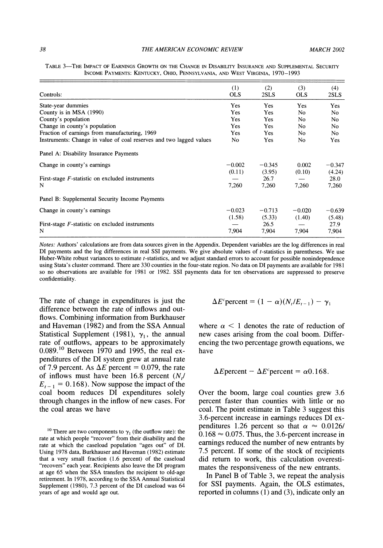| Controls:                                                           | (1)<br><b>OLS</b> | (2)<br>2SLS | (3)<br><b>OLS</b> | (4)<br>2SLS |
|---------------------------------------------------------------------|-------------------|-------------|-------------------|-------------|
| State-year dummies                                                  | Yes               | <b>Yes</b>  | <b>Yes</b>        | Yes         |
| County is in MSA (1990)                                             | Yes               | Yes         | No.               | No          |
| County's population                                                 | Yes               | <b>Yes</b>  | No.               | No.         |
| Change in county's population                                       | <b>Yes</b>        | <b>Yes</b>  | No.               | No.         |
| Fraction of earnings from manufacturing, 1969                       | <b>Yes</b>        | <b>Yes</b>  | No.               | No.         |
| Instruments: Change in value of coal reserves and two lagged values | No.               | <b>Yes</b>  | No.               | Yes         |
| Panel A: Disability Insurance Payments                              |                   |             |                   |             |
| Change in county's earnings                                         | $-0.002$          | $-0.345$    | 0.002             | $-0.347$    |
|                                                                     | (0.11)            | (3.95)      | (0.10)            | (4.24)      |
| First-stage $F$ -statistic on excluded instruments                  |                   | 26.7        |                   | 28.0        |
| N                                                                   | 7.260             | 7,260       | 7,260             | 7,260       |
| Panel B: Supplemental Security Income Payments                      |                   |             |                   |             |
| Change in county's earnings                                         | $-0.023$          | $-0.713$    | $-0.020$          | $-0.639$    |
|                                                                     | (1.58)            | (5.33)      | (1.40)            | (5.48)      |
| First-stage $F$ -statistic on excluded instruments                  |                   | 26.5        |                   | 27.9        |
| N                                                                   | 7,904             | 7.904       | 7.904             | 7,904       |
|                                                                     |                   |             |                   |             |

**TABLE 3-THE IMPACT OF EARNINGS GROWTH ON THE CHANGE IN DISABILITY INSURANCE AND SUPPLEMENTAL SECURITY INCOME PAYMENTS: KENTUCKY, OHIO, PENNSYLVANIA, AND WEST VIRGINIA, 1970-1993** 

**Notes: Authors' calculations are from data sources given in the Appendix. Dependent variables are the log differences in real DI payments and the log differences in real SSI payments. We give absolute values of t-statistics in parentheses. We use Huber-White robust variances to estimate t-statistics, and we adjust standard errors to account for possible nonindependence using Stata's cluster command. There are 330 counties in the four-state region. No data on DI payments are available for 1981 so no observations are available for 1981 or 1982. SSI payments data for ten observations are suppressed to preserve confidentiality.** 

**The rate of change in expenditures is just the difference between the rate of inflows and outflows. Combining information from Burkhauser and Haveman (1982) and from the SSA Annual**  Statistical Supplement (1981),  $\gamma_1$ , the annual **rate of outflows, appears to be approximately 0.089.10 Between 1970 and 1995, the real expenditures of the DI system grew at annual rate**  of 7.9 percent. As  $\Delta E$  percent = 0.079, the rate of inflows must have been 16.8 percent (N<sub>t</sub>/  $E_{t-1} = 0.168$ . Now suppose the impact of the **coal boom reduces DI expenditures solely through changes in the inflow of new cases. For the coal areas we have** 

$$
\Delta E^c \text{percent} = (1 - \alpha)(N_t / E_{t-1}) - \gamma_1
$$

where  $\alpha$  < 1 denotes the rate of reduction of **new cases arising from the coal boom. Differencing the two percentage growth equations, we have** 

#### $\Delta E$  percent  $-\Delta E^c$  percent  $=\alpha 0.168$ .

**Over the boom, large coal counties grew 3.6 percent faster than counties with little or no coal. The point estimate in Table 3 suggest this 3.6-percent increase in earnings reduces DI ex**penditures 1.26 percent so that  $\alpha \approx 0.0126/$  $0.168 \approx 0.075$ . Thus, the 3.6-percent increase in **earnings reduced the number of new entrants by 7.5 percent. If some of the stock of recipients did return to work, this calculation overestimates the responsiveness of the new entrants.** 

**In Panel B of Table 3, we repeat the analysis for SSI payments. Again, the OLS estimates, reported in columns (1) and (3), indicate only an** 

<sup>&</sup>lt;sup>10</sup> There are two components to  $\gamma_1$  (the outflow rate): the **rate at which people "recover" from their disability and the rate at which the caseload population "ages out" of DI. Using 1978 data, Burkhauser and Haveman (1982) estimate that a very small fraction (1.6 percent) of the caseload "recovers" each year. Recipients also leave the DI program at age 65 when the SSA transfers the recipient to old-age retirement. In 1978, according to the SSA Annual Statistical Supplement (1980), 7.3 percent of the DI caseload was 64 years of age and would age out.**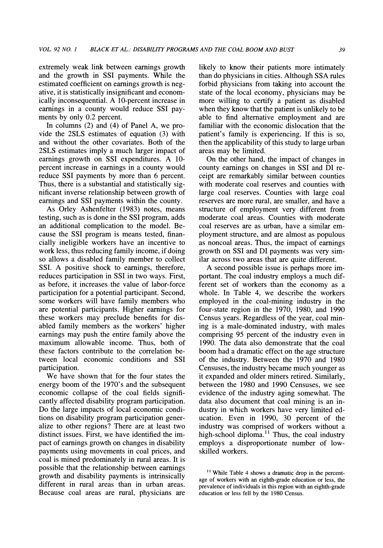**extremely weak link between earnings growth and the growth in SSI payments. While the estimated coefficient on earnings growth is negative, it is statistically insignificant and economically inconsequential. A 10-percent increase in earnings in a county would reduce SSI payments by only 0.2 percent.** 

**In columns (2) and (4) of Panel A, we provide the 2SLS estimates of equation (3) with and without the other covariates. Both of the 2SLS estimates imply a much larger impact of earnings growth on SSI expenditures. A 10 percent increase in earnings in a county would reduce SSI payments by more than 6 percent. Thus, there is a substantial and statistically significant inverse relationship between growth of earnings and SSI payments within the county.** 

**As Orley Ashenfelter (1983) notes, means testing, such as is done in the SSI program, adds an additional complication to the model. Because the SSI program is means tested, financially ineligible workers have an incentive to work less, thus reducing family income, if doing so allows a disabled family member to collect SSI. A positive shock to earnings, therefore, reduces participation in SSI in two ways. First, as before, it increases the value of labor-force participation for a potential participant. Second, some workers will have family members who are potential participants. Higher earnings for these workers may preclude benefits for disabled family members as the workers' higher earnings may push the entire family above the maximum allowable income. Thus, both of these factors contribute to the correlation between local economic conditions and SSI participation.** 

**We have shown that for the four states the energy boom of the 1970's and the subsequent economic collapse of the coal fields significantly affected disability program participation. Do the large impacts of local economic conditions on disability program participation generalize to other regions? There are at least two distinct issues. First, we have identified the impact of earnings growth on changes in disability payments using movements in coal prices, and coal is mined predominately in rural areas. It is possible that the relationship between earnings growth and disability payments is intrinsically different in rural areas than in urban areas. Because coal areas are rural, physicians are**  **likely to know their patients more intimately than do physicians in cities. Although SSA rules forbid physicians from taking into account the state of the local economy, physicians may be more willing to certify a patient as disabled when they know that the patient is unlikely to be able to find alternative employment and are familiar with the economic dislocation that the patient's family is experiencing. If this is so, then the applicability of this study to large urban areas may be limited.** 

**On the other hand, the impact of changes in county earnings on changes in SSI and DI receipt are remarkably similar between counties with moderate coal reserves and counties with large coal reserves. Counties with large coal reserves are more rural, are smaller, and have a structure of employment very different from moderate coal areas. Counties with moderate coal reserves are as urban, have a similar employment structure, and are almost as populous as noncoal areas. Thus, the impact of earnings growth on SSI and DI payments was very similar across two areas that are quite different.** 

**A second possible issue is perhaps more important. The coal industry employs a much different set of workers than the economy as a whole. In Table 4, we describe the workers employed in the coal-mining industry in the four-state region in the 1970, 1980, and 1990 Census years. Regardless of the year, coal mining is a male-dominated industry, with males comprising 95 percent of the industry even in 1990. The data also demonstrate that the coal boom had a dramatic effect on the age structure of the industry. Between the 1970 and 1980 Censuses, the industry became much younger as it expanded and older miners retired. Similarly, between the 1980 and 1990 Censuses, we see evidence of the industry aging somewhat. The data also document that coal mining is an industry in which workers have very limited education. Even in 1990, 30 percent of the industry was comprised of workers without a**  high-school diploma.<sup>11</sup> Thus, the coal industry **employs a disproportionate number of lowskilled workers.** 

**<sup>11</sup> While Table 4 shows a dramatic drop in the percentage of workers with an eighth-grade education or less, the prevalence of individuals in this region with an eighth-grade education or less fell by the 1980 Census.**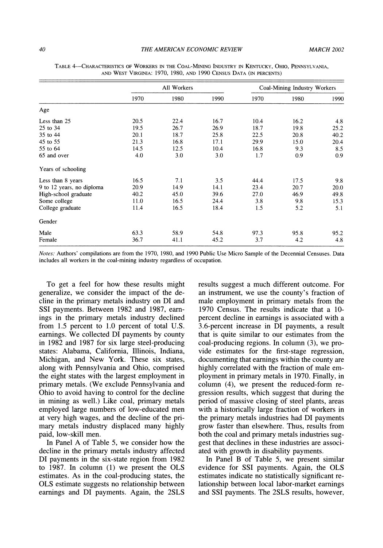|                           |      | All Workers |      |      |      |      |  | Coal-Mining Industry Workers |  |
|---------------------------|------|-------------|------|------|------|------|--|------------------------------|--|
|                           | 1970 | 1980        | 1990 | 1970 | 1980 | 1990 |  |                              |  |
| Age                       |      |             |      |      |      |      |  |                              |  |
| Less than 25              | 20.5 | 22.4        | 16.7 | 10.4 | 16.2 | 4.8  |  |                              |  |
| 25 to 34                  | 19.5 | 26.7        | 26.9 | 18.7 | 19.8 | 25.2 |  |                              |  |
| 35 to 44                  | 20.1 | 18.7        | 25.8 | 22.5 | 20.8 | 40.2 |  |                              |  |
| 45 to 55                  | 21.3 | 16.8        | 17.1 | 29.9 | 15.0 | 20.4 |  |                              |  |
| 55 to 64                  | 14.5 | 12.5        | 10.4 | 16.8 | 9.3  | 8.5  |  |                              |  |
| 65 and over               | 4.0  | 3.0         | 3.0  | 1.7  | 0.9  | 0.9  |  |                              |  |
| Years of schooling        |      |             |      |      |      |      |  |                              |  |
| Less than 8 years         | 16.5 | 7.1         | 3.5  | 44.4 | 17.5 | 9.8  |  |                              |  |
| 9 to 12 years, no diploma | 20.9 | 14.9        | 14.1 | 23.4 | 20.7 | 20.0 |  |                              |  |
| High-school graduate      | 40.2 | 45.0        | 39.6 | 27.0 | 46.9 | 49.8 |  |                              |  |
| Some college              | 11.0 | 16.5        | 24.4 | 3.8  | 9.8  | 15.3 |  |                              |  |
| College graduate          | 11.4 | 16.5        | 18.4 | 1.5  | 5.2  | 5.1  |  |                              |  |
| Gender                    |      |             |      |      |      |      |  |                              |  |
| Male                      | 63.3 | 58.9        | 54.8 | 97.3 | 95.8 | 95.2 |  |                              |  |
| Female                    | 36.7 | 41.1        | 45.2 | 3.7  | 4.2  | 4.8  |  |                              |  |

**TABLE 4-CHARACTERISTICS OF WORKERS IN THE COAL-MINING INDUSTRY IN KENTUCKY, OHIO, PENNSYLVANIA, AND WEST VIRGINIA: 1970, 1980, AND 1990 CENSUS DATA (IN PERCENTS)** 

**Notes: Authors' compilations are from the 1970, 1980, and 1990 Public Use Micro Sample of the Decennial Censuses. Data includes all workers in the coal-mining industry regardless of occupation.** 

**To get a feel for how these results might generalize, we consider the impact of the decline in the primary metals industry on DI and SSI payments. Between 1982 and 1987, earnings in the primary metals industry declined from 1.5 percent to 1.0 percent of total U.S. earnings. We collected DI payments by county in 1982 and 1987 for six large steel-producing states: Alabama, California, Illinois, Indiana, Michigan, and New York. These six states, along with Pennsylvania and Ohio, comprised the eight states with the largest employment in primary metals. (We exclude Pennsylvania and Ohio to avoid having to control for the decline in mining as well.) Like coal, primary metals employed large numbers of low-educated men at very high wages, and the decline of the primary metals industry displaced many highly paid, low-skill men.** 

**In Panel A of Table 5, we consider how the decline in the primary metals industry affected DI payments in the six-state region from 1982 to 1987. In column (1) we present the OLS estimates. As in the coal-producing states, the OLS estimate suggests no relationship between earnings and DI payments. Again, the 2SLS**  **results suggest a much different outcome. For an instrument, we use the county's fraction of male employment in primary metals from the 1970 Census. The results indicate that a 10 percent decline in earnings is associated with a 3.6-percent increase in DI payments, a result that is quite similar to our estimates from the coal-producing regions. In column (3), we provide estimates for the first-stage regression, documenting that earnings within the county are highly correlated with the fraction of male employment in primary metals in 1970. Finally, in column (4), we present the reduced-form regression results, which suggest that during the period of massive closing of steel plants, areas with a historically large fraction of workers in the primary metals industries had DI payments grow faster than elsewhere. Thus, results from both the coal and primary metals industries suggest that declines in these industries are associated with growth in disability payments.** 

**In Panel B of Table 5, we present similar evidence for SSI payments. Again, the OLS estimates indicate no statistically significant relationship between local labor-market earnings and SSI payments. The 2SLS results, however,**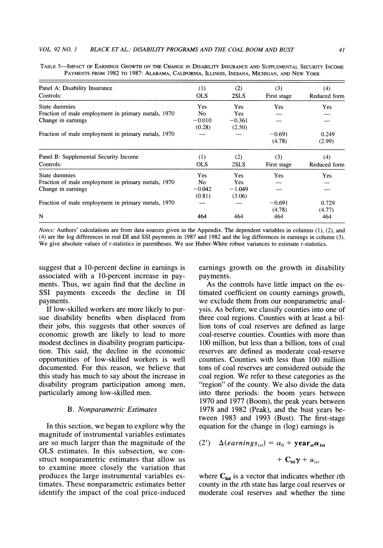| Panel A: Disability Insurance                       | (1)            | (2)        | (3)         | (4)          |
|-----------------------------------------------------|----------------|------------|-------------|--------------|
| Controls:                                           | <b>OLS</b>     | 2SLS       | First stage | Reduced form |
| State dummies                                       | Yes            | <b>Yes</b> | Yes         | Yes          |
| Fraction of male employment in primary metals, 1970 | N <sub>0</sub> | <b>Yes</b> |             |              |
| Change in earnings                                  | $-0.010$       | $-0.361$   |             |              |
|                                                     | (0.28)         | (2.50)     |             |              |
| Fraction of male employment in primary metals, 1970 |                |            | $-0.691$    | 0.249        |
|                                                     |                |            | (4.78)      | (2.99)       |
| Panel B: Supplemental Security Income               | (1)            | (2)        | (3)         | (4)          |
| Controls:                                           | <b>OLS</b>     | 2SLS       | First stage | Reduced form |
| State dummies                                       | Yes            | <b>Yes</b> | <b>Yes</b>  | <b>Yes</b>   |
| Fraction of male employment in primary metals, 1970 | No.            | <b>Yes</b> |             |              |
| Change in earnings                                  | $-0.042$       | $-1.049$   |             |              |
|                                                     | (0.81)         | (3.06)     |             |              |
| Fraction of male employment in primary metals, 1970 |                |            | $-0.691$    | 0.729        |
|                                                     |                |            | (4.78)      | (4.77)       |
| N                                                   | 464            | 464        | 464         | 464          |

**TABLE 5-IMPACT OF EARNINGS GROWTH ON THE CHANGE IN DISABILITY INSURANCE AND SUPPLEMENTAL SECURITY INCOME PAYMENTS FROM 1982 TO 1987: ALABAMA, CALIFORNIA, ILLINOIS, INDIANA, MICHIGAN, AND NEW YORK** 

**Notes: Authors' calculations are from data sources given in the Appendix. The dependent variables in columns (1), (2), and (4) are the log differences in real DI and SSI payments in 1987 and 1982 and the log differences in earnings in column (3).**  We give absolute values of *t*-statistics in parentheses. We use Huber-White robust variances to estimate *t*-statistics.

**suggest that a 10-percent decline in earnings is associated with a 10-percent increase in payments. Thus, we again find that the decline in SSI payments exceeds the decline in DI payments.** 

**If low-skilled workers are more likely to pursue disability benefits when displaced from their jobs, this suggests that other sources of economic growth are likely to lead to more modest declines in disability program participation. This said, the decline in the economic opportunities of low-skilled workers is well documented. For this reason, we believe that this study has much to say about the increase in disability program participation among men, particularly among low-skilled men.** 

#### **B. Nonparametric Estimates**

**In this section, we began to explore why the magnitude of instrumental variables estimates are so much larger than the magnitude of the OLS estimates. In this subsection, we construct nonparametric estimates that allow us to examine more closely the variation that produces the large instrumental variables estimates. These nonparametric estimates better identify the impact of the coal price-induced** 

**earnings growth on the growth in disability payments.** 

**As the controls have little impact on the estimated coefficient on county earnings growth, we exclude them from our nonparametric analysis. As before, we classify counties into one of three coal regions. Counties with at least a billion tons of coal reserves are defined as large coal-reserve counties. Counties with more than 100 million, but less than a billion, tons of coal reserves are defined as moderate coal-reserve counties. Counties with less than 100 million tons of coal reserves are considered outside the coal region. We refer to these categories as the "region" of the county. We also divide the data into three periods: the boom years between 1970 and 1977 (Boom), the peak years between 1978 and 1982 (Peak), and the bust years between 1983 and 1993 (Bust). The first-stage equation for the change in (log) earnings is** 

(2') 
$$
\Delta(earnings_{is}) = \alpha_0 + \textbf{year}_{st}\alpha_{1st} + C_{ist}\gamma + u_{ist}
$$

where  $\mathbf{C_{ist}}$  is a vector that indicates whether *i*th **county in the sth state has large coal reserves or moderate coal reserves and whether the time**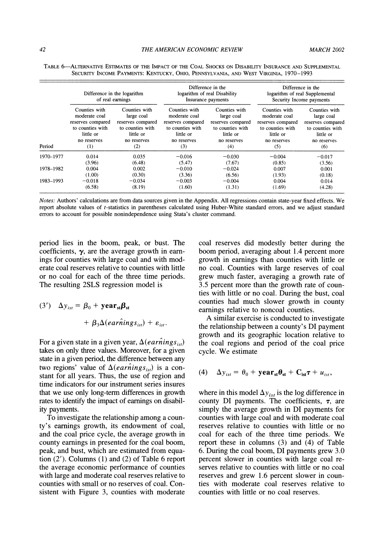|           | Difference in the logarithm<br>of real earnings |                   | Difference in the<br>logarithm of real Disability<br>Insurance payments |                   | Difference in the<br>logarithm of real Supplemental<br>Security Income payments |                   |
|-----------|-------------------------------------------------|-------------------|-------------------------------------------------------------------------|-------------------|---------------------------------------------------------------------------------|-------------------|
| Period    | Counties with                                   | Counties with     | Counties with                                                           | Counties with     | Counties with                                                                   | Counties with     |
|           | moderate coal                                   | large coal        | moderate coal                                                           | large coal        | moderate coal                                                                   | large coal        |
|           | reserves compared                               | reserves compared | reserves compared                                                       | reserves compared | reserves compared                                                               | reserves compared |
|           | to counties with                                | to counties with  | to counties with                                                        | to counties with  | to counties with                                                                | to counties with  |
|           | little or                                       | little or         | little or                                                               | little or         | little or                                                                       | little or         |
|           | no reserves                                     | no reserves       | no reserves                                                             | no reserves       | no reserves                                                                     | no reserves       |
|           | (1)                                             | (2)               | (3)                                                                     | (4)               | (5)                                                                             | (6)               |
| 1970-1977 | 0.014                                           | 0.035             | $-0.016$                                                                | $-0.030$          | $-0.004$                                                                        | $-0.017$          |
| 1978-1982 | (3.96)                                          | (6.48)            | (5.47)                                                                  | (7.67)            | (0.85)                                                                          | (3.56)            |
|           | 0.004                                           | 0.002             | $-0.010$                                                                | $-0.024$          | 0.007                                                                           | 0.001             |
|           | (1.00)                                          | (0.30)            | (3.36)                                                                  | (6.56)            | (1.93)                                                                          | (0.18)            |
| 1983-1993 | $-0.018$                                        | $-0.034$          | $-0.003$                                                                | $-0.004$          | 0.004                                                                           | 0.014             |
|           | (6.58)                                          | (8.19)            | (1.60)                                                                  | (1.31)            | (1.69)                                                                          | (4.28)            |

**TABLE 6-ALTERNATIVE ESTIMATES OF THE IMPACT OF THE COAL SHOCKS ON DISABILITY INSURANCE AND SUPPLEMENTAL SECURITY INCOME PAYMENTS: KENTUCKY, OHIO, PENNSYLVANIA, AND WEST VIRGINIA, 1970-1993** 

**Notes: Authors' calculations are from data sources given in the Appendix. All regressions contain state-year fixed effects. We report absolute values of t-statistics in parentheses calculated using Huber-White standard errors, and we adjust standard errors to account for possible nonindependence using Stata's cluster command.** 

**period lies in the boom, peak, or bust. The coefficients, y, are the average growth in earnings for counties with large coal and with moderate coal reserves relative to counties with little or no coal for each of the three time periods. The resulting 2SLS regression model is** 

(3') 
$$
\Delta y_{ist} = \beta_0 + \textbf{year}_{st}\beta_{st} + \beta_3 \Delta(ear\hat{n}ings_{ist}) + \varepsilon_{ist}.
$$

For a given state in a given year,  $\Delta(ear\hat{n}ings_{ist})$ **takes on only three values. Moreover, for a given state in a given period, the difference between any**  two regions' value of  $\Delta(ear\hat{n}ings_{ist})$  is a con**stant for all years. Thus, the use of region and time indicators for our instrument series insures that we use only long-term differences in growth rates to identify the impact of earnings on disability payments.** 

**To investigate the relationship among a county's earnings growth, its endowment of coal, and the coal price cycle, the average growth in county earnings in presented for the coal boom, peak, and bust, which are estimated from equation (2'). Columns (1) and (2) of Table 6 report the average economic performance of counties with large and moderate coal reserves relative to counties with small or no reserves of coal. Consistent with Figure 3, counties with moderate** 

**coal reserves did modestly better during the boom period, averaging about 1.4 percent more growth in earnings than counties with little or no coal. Counties with large reserves of coal grew much faster, averaging a growth rate of 3.5 percent more than the growth rate of counties with little or no coal. During the bust, coal counties had much slower growth in county earnings relative to noncoal counties.** 

**A similar exercise is conducted to investigate the relationship between a county's DI payment growth and its geographic location relative to the coal regions and period of the coal price cycle. We estimate** 

(4) 
$$
\Delta y_{ist} = \theta_0 + \mathbf{year}_{st} \theta_{st} + C_{ist} \tau + u_{ist},
$$

where in this model  $\Delta y_{ist}$  is the log difference in county DI payments. The coefficients,  $\tau$ , are **simply the average growth in DI payments for counties with large coal and with moderate coal reserves relative to counties with little or no coal for each of the three time periods. We report these in columns (3) and (4) of Table 6. During the coal boom, DI payments grew 3.0 percent slower in counties with large coal reserves relative to counties with little or no coal reserves and grew 1.6 percent slower in counties with moderate coal reserves relative to counties with little or no coal reserves.**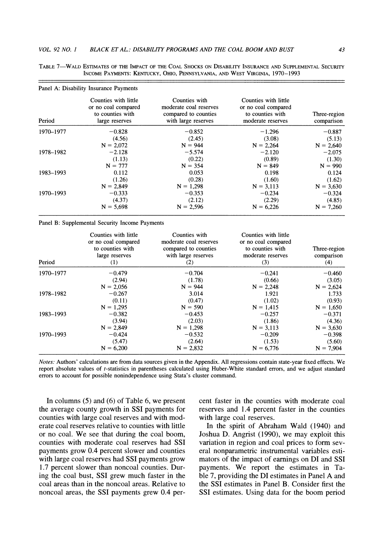|           | Panel A: Disability Insurance Payments                                            |                                                                                        |                                                                                      |                            |
|-----------|-----------------------------------------------------------------------------------|----------------------------------------------------------------------------------------|--------------------------------------------------------------------------------------|----------------------------|
| Period    | Counties with little<br>or no coal compared<br>to counties with<br>large reserves | Counties with<br>moderate coal reserves<br>compared to counties<br>with large reserves | Counties with little<br>or no coal compared<br>to counties with<br>moderate reserves | Three-region<br>comparison |
| 1970-1977 | $-0.828$                                                                          | $-0.852$                                                                               | $-1.296$                                                                             | $-0.887$                   |
|           | (4.56)                                                                            | (2.45)                                                                                 | (3.08)                                                                               | (5.13)                     |
|           | $N = 2.072$                                                                       | $N = 944$                                                                              | $N = 2.264$                                                                          | $N = 2,640$                |
| 1978-1982 | $-2.128$                                                                          | $-5.574$                                                                               | $-2.120$                                                                             | $-2.075$                   |
|           | (1.13)                                                                            | (0.22)                                                                                 | (0.89)                                                                               | (1.30)                     |
|           | $N = 777$                                                                         | $N = 354$                                                                              | $N = 849$                                                                            | $N = 990$                  |
| 1983-1993 | 0.112                                                                             | 0.053                                                                                  | 0.198                                                                                | 0.124                      |
|           | (1.26)                                                                            | (0.28)                                                                                 | (1.60)                                                                               | (1.62)                     |
|           | $N = 2,849$                                                                       | $N = 1,298$                                                                            | $N = 3,113$                                                                          | $N = 3.630$                |
| 1970-1993 | $-0.333$                                                                          | $-0.353$                                                                               | $-0.234$                                                                             | $-0.324$                   |
|           | (4.37)                                                                            | (2.12)                                                                                 | (2.29)                                                                               | (4.85)                     |
|           | $N = 5,698$                                                                       | $N = 2.596$                                                                            | $N = 6,226$                                                                          | $N = 7.260$                |

**TABLE 7-WALD ESTIMATES OF THE IMPACT OF THE COAL SHOCKS ON DISABILITY INSURANCE AND SUPPLEMENTAL SECURITY INCOME PAYMENTS: KENTUCKY, OHIO, PENNSYLVANIA, AND WEST VIRGINIA, 1970-1993** 

**Panel B: Supplemental Security Income Payments** 

| Period    | Counties with little<br>or no coal compared<br>to counties with<br>large reserves<br>(1) | Counties with<br>moderate coal reserves<br>compared to counties<br>with large reserves<br>(2) | Counties with little<br>or no coal compared<br>to counties with<br>moderate reserves<br>(3) | Three-region<br>comparison<br>(4) |
|-----------|------------------------------------------------------------------------------------------|-----------------------------------------------------------------------------------------------|---------------------------------------------------------------------------------------------|-----------------------------------|
| 1970–1977 | $-0.479$                                                                                 | $-0.704$                                                                                      | $-0.241$                                                                                    | $-0.460$                          |
|           | (2.94)                                                                                   | (1.78)                                                                                        | (0.66)                                                                                      | (3.05)                            |
|           | $N = 2,056$                                                                              | $N = 944$                                                                                     | $N = 2.248$                                                                                 | $N = 2.624$                       |
| 1978-1982 | $-0.267$                                                                                 | 3.014                                                                                         | 1.921                                                                                       | 1.733                             |
|           | (0.11)                                                                                   | (0.47)                                                                                        | (1.02)                                                                                      | (0.93)                            |
|           | $N = 1.295$                                                                              | $N = 590$                                                                                     | $N = 1.415$                                                                                 | $N = 1,650$                       |
| 1983-1993 | $-0.382$                                                                                 | $-0.453$                                                                                      | $-0.257$                                                                                    | $-0.371$                          |
|           | (3.94)                                                                                   | (2.03)                                                                                        | (1.86)                                                                                      | (4.36)                            |
|           | $N = 2,849$                                                                              | $N = 1,298$                                                                                   | $N = 3.113$                                                                                 | $N = 3,630$                       |
| 1970-1993 | $-0.424$                                                                                 | $-0.532$                                                                                      | $-0.209$                                                                                    | $-0.398$                          |
|           | (5.47)                                                                                   | (2.64)                                                                                        | (1.53)                                                                                      | (5.60)                            |
|           | $N = 6,200$                                                                              | $N = 2,832$                                                                                   | $N = 6,776$                                                                                 | $N = 7,904$                       |

**Notes: Authors' calculations are from data sources given in the Appendix. All regressions contain state-year fixed effects. We report absolute values of t-statistics in parentheses calculated using Huber-White standard errors, and we adjust standard errors to account for possible nonindependence using Stata's cluster command.** 

**In columns (5) and (6) of Table 6, we present the average county growth in SSI payments for counties with large coal reserves and with moderate coal reserves relative to counties with little or no coal. We see that during the coal boom, counties with moderate coal reserves had SSI payments grow 0.4 percent slower and counties with large coal reserves had SSI payments grow 1.7 percent slower than noncoal counties. During the coal bust, SSI grew much faster in the coal areas than in the noncoal areas. Relative to noncoal areas, the SSI payments grew 0.4 per-** **cent faster in the counties with moderate coal reserves and 1.4 percent faster in the counties with large coal reserves.** 

**In the spirit of Abraham Wald (1940) and Joshua D. Angrist (1990), we may exploit this variation in region and coal prices to form several nonparametric instrumental variables estimators of the impact of earnings on DI and SSI payments. We report the estimates in Table 7, providing the DI estimates in Panel A and the SSI estimates in Panel B. Consider first the SSI estimates. Using data for the boom period**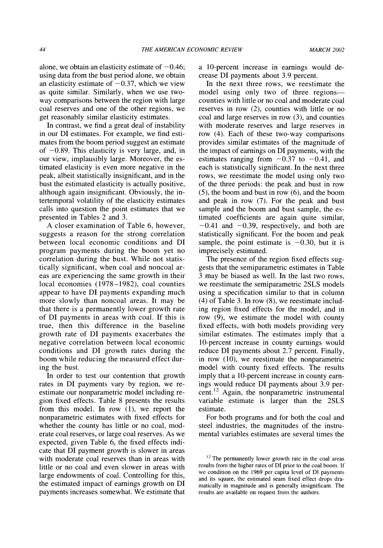alone, we obtain an elasticity estimate of  $-0.46$ ; **using data from the bust period alone, we obtain**  an elasticity estimate of  $-0.37$ , which we view **as quite similar. Similarly, when we use twoway comparisons between the region with large coal reserves and one of the other regions, we get reasonably similar elasticity estimates.** 

**In contrast, we find a great deal of instability in our DI estimates. For example, we find estimates from the boom period suggest an estimate of -0.89. This elasticity is very large, and, in our view, implausibly large. Moreover, the estimated elasticity is even more negative in the peak, albeit statistically insignificant, and in the bust the estimated elasticity is actually positive, although again insignificant. Obviously, the intertemporal volatility of the elasticity estimates calls into question the point estimates that we presented in Tables 2 and 3.** 

**A closer examination of Table 6, however, suggests a reason for the strong correlation between local economic conditions and DI program payments during the boom yet no correlation during the bust. While not statistically significant, when coal and noncoal areas are experiencing the same growth in their local economies (1978-1982), coal counties appear to have DI payments expanding much more slowly than noncoal areas. It may be that there is a permanently lower growth rate of DI payments in areas with coal. If this is true, then this difference in the baseline growth rate of DI payments exacerbates the negative correlation between local economic conditions and DI growth rates during the boom while reducing the measured effect during the bust.** 

**In order to test our contention that growth rates in DI payments vary by region, we reestimate our nonparametric model including region fixed effects. Table 8 presents the results from this model. In row (1), we report the nonparametric estimates with fixed effects for whether the county has little or no coal, moderate coal reserves, or large coal reserves. As we expected, given Table 6, the fixed effects indicate that DI payment growth is slower in areas with moderate coal reserves than in areas with little or no coal and even slower in areas with large endowments of coal. Controlling for this, the estimated impact of earnings growth on DI payments increases somewhat. We estimate that** 

**a 1 0-percent increase in earnings would decrease DI payments about 3.9 percent.** 

**In the next three rows, we reestimate the**  model using only two of three regions **counties with little or no coal and moderate coal reserves in row (2), counties with little or no coal and large reserves in row (3), and counties with moderate reserves and large reserves in row (4). Each of these two-way comparisons provides similar estimates of the magnitude of the impact of earnings on DI payments, with the**  estimates ranging from  $-0.37$  to  $-0.41$ , and **each is statistically significant. In the next three rows, we reestimate the model using only two of the three periods: the peak and bust in row (5), the boom and bust in row (6), and the boom and peak in row (7). For the peak and bust sample and the boom and bust sample, the estimated coefficients are again quite similar,**   $-0.41$  and  $-0.39$ , respectively, and both are **statistically significant. For the boom and peak**  sample, the point estimate is  $-0.30$ , but it is **imprecisely estimated.** 

**The presence of the region fixed effects suggests that the semiparametric estimates in Table 3 may be biased as well. In the last two rows, we reestimate the semiparametric 2SLS models using a specification similar to that in column (4) of Table 3. In row (8), we reestimate including region fixed effects for the model, and in row (9), we estimate the model with county fixed effects, with both models providing very similar estimates. The estimates imply that a 10-percent increase in county earnings would reduce DI payments about 2.7 percent. Finally, in row (10), we reestimate the nonparametric model with county fixed effects. The results imply that a 10-percent increase in county earnings would reduce DI payments about 3.9 percent.12 Again, the nonparametric instrumental variable estimate is larger than the 2SLS estimate.** 

**For both programs and for both the coal and steel industries, the magnitudes of the instrumental variables estimates are several times the** 

**<sup>12</sup>The permanently lower growth rate in the coal areas results from the higher rates of DI prior to the coal boom. If we condition on the 1969 per capita level of DI payments and its square, the estimated seam fixed effect drops dramatically in magnitude and is generally insignificant. The results are available on request from the authors.**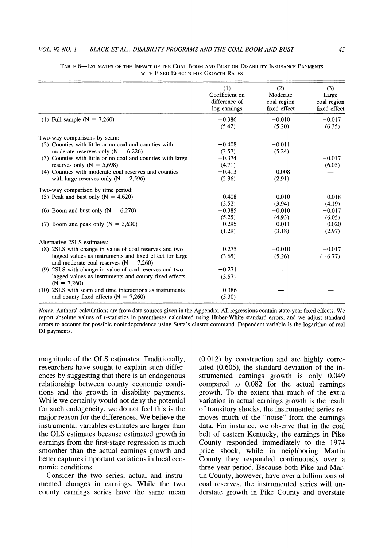|                                                                                                       | (1)<br>Coefficient on<br>difference of<br>log earnings | (2)<br>Moderate<br>coal region<br>fixed effect | (3)<br>Large<br>coal region<br>fixed effect |
|-------------------------------------------------------------------------------------------------------|--------------------------------------------------------|------------------------------------------------|---------------------------------------------|
| (1) Full sample ( $N = 7,260$ )                                                                       | $-0.386$                                               | $-0.010$                                       | $-0.017$                                    |
|                                                                                                       | (5.42)                                                 | (5.20)                                         | (6.35)                                      |
| Two-way comparisons by seam:                                                                          |                                                        |                                                |                                             |
| (2) Counties with little or no coal and counties with                                                 | $-0.408$                                               | $-0.011$                                       |                                             |
| moderate reserves only ( $N = 6,226$ )                                                                | (3.57)                                                 | (5.24)                                         |                                             |
| (3) Counties with little or no coal and counties with large                                           | $-0.374$                                               |                                                | $-0.017$                                    |
| reserves only $(N = 5,698)$                                                                           | (4.71)                                                 |                                                | (6.05)                                      |
| (4) Counties with moderate coal reserves and counties                                                 | $-0.413$                                               | 0.008                                          |                                             |
| with large reserves only ( $N = 2,596$ )                                                              | (2.36)                                                 | (2.91)                                         |                                             |
| Two-way comparison by time period:                                                                    |                                                        |                                                |                                             |
| (5) Peak and bust only $(N = 4,620)$                                                                  | $-0.408$                                               | $-0.010$                                       | $-0.018$                                    |
|                                                                                                       | (3.52)                                                 | (3.94)                                         | (4.19)                                      |
| (6) Boom and bust only ( $N = 6,270$ )                                                                | $-0.385$                                               | $-0.010$                                       | $-0.017$                                    |
|                                                                                                       | (5.25)                                                 | (4.93)                                         | (6.05)                                      |
| (7) Boom and peak only $(N = 3,630)$                                                                  | $-0.295$                                               | $-0.011$                                       | $-0.020$                                    |
|                                                                                                       | (1.29)                                                 | (3.18)                                         | (2.97)                                      |
| Alternative 2SLS estimates:                                                                           |                                                        |                                                |                                             |
|                                                                                                       | $-0.275$                                               | $-0.010$                                       |                                             |
| (8) 2SLS with change in value of coal reserves and two                                                |                                                        |                                                | $-0.017$                                    |
| lagged values as instruments and fixed effect for large<br>and moderate coal reserves ( $N = 7,260$ ) | (3.65)                                                 | (5.26)                                         | $(-6.77)$                                   |
| (9) 2SLS with change in value of coal reserves and two                                                | $-0.271$                                               |                                                |                                             |
| lagged values as instruments and county fixed effects<br>$(N = 7,260)$                                | (3.57)                                                 |                                                |                                             |
| (10) 2SLS with seam and time interactions as instruments                                              | $-0.386$                                               |                                                |                                             |
| and county fixed effects ( $N = 7,260$ )                                                              | (5.30)                                                 |                                                |                                             |

**TABLE 8-ESTIMATES OF THE IMPACT OF THE CoAL BOOM AND BUST ON DISABILITY INSURANCE PAYMENTS wiTH FIXED EFFECTS FOR GROWTH RATES** 

**Notes: Authors' calculations are from data sources given in the Appendix. All regressions contain state-year fixed effects. We report absolute values of t-statistics in parentheses calculated using Huber-White standard errors, and we adjust standard errors to account for possible nonindependence using Stata's cluster command. Dependent variable is the logarithm of real DI payments.** 

**magnitude of the OLS estimates. Traditionally, researchers have sought to explain such differences by suggesting that there is an endogenous relationship between county economic conditions and the growth in disability payments. While we certainly would not deny the potential for such endogeneity, we do not feel this is the major reason for the differences. We believe the instrumental variables estimates are larger than the OLS estimates because estimated growth in earnings from the first-stage regression is much smoother than the actual earnings growth and better captures important variations in local economic conditions.** 

**Consider the two series, actual and instrumented changes in earnings. While the two county earnings series have the same mean** 

**(0.012) by construction and are highly correlated (0.605), the standard deviation of the instrumented earnings growth is only 0.049 compared to 0.082 for the actual earnings growth. To the extent that much of the extra variation in actual earnings growth is the result of transitory shocks, the instrumented series removes much of the "noise" from the earnings data. For instance, we observe that in the coal belt of eastern Kentucky, the earnings in Pike County responded immediately to the 1974 price shock, while in neighboring Martin County they responded continuously over a three-year period. Because both Pike and Martin County, however, have over a billion tons of coal reserves, the instrumented series will understate growth in Pike County and overstate**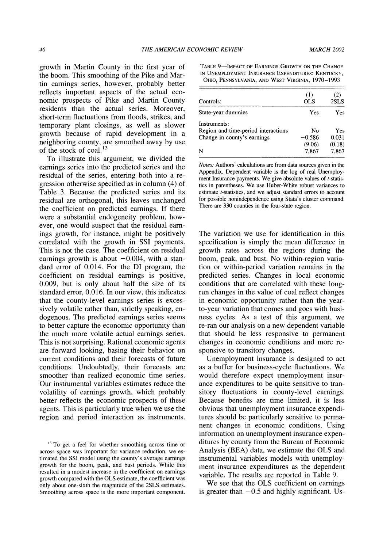**growth in Martin County in the first year of the boom. This smoothing of the Pike and Martin earnings series, however, probably better reflects important aspects of the actual economic prospects of Pike and Martin County residents than the actual series. Moreover, short-term fluctuations from floods, strikes, and temporary plant closings, as well as slower growth because of rapid development in a neighboring county, are smoothed away by use of the stock of coal.'3** 

**To illustrate this argument, we divided the earnings series into the predicted series and the residual of the series, entering both into a regression otherwise specified as in column (4) of Table 3. Because the predicted series and its residual are orthogonal, this leaves unchanged the coefficient on predicted earnings. If there were a substantial endogeneity problem, however, one would suspect that the residual earnings growth, for instance, might be positively correlated with the growth in SSI payments. This is not the case. The coefficient on residual**  earnings growth is about  $-0.004$ , with a stan**dard error of 0.014. For the DI program, the coefficient on residual earnings is positive, 0.009, but is only about half the size of its standard error, 0.016. In our view, this indicates that the county-level earnings series is excessively volatile rather than, strictly speaking, endogenous. The predicted earnings series seems to better capture the economic opportunity than the much more volatile actual earnings series. This is not surprising. Rational economic agents are forward looking, basing their behavior on current conditions and their forecasts of future conditions. Undoubtedly, their forecasts are smoother than realized economic time series. Our instrumental variables estimates reduce the volatility of earnings growth, which probably better reflects the economic prospects of these agents. This is particularly true when we use the region and period interaction as instruments.** 

**TABLE 9-IMPACT OF EARNINGS GROWTH ON THE CHANGE IN UNEMPLOYMENT INSURANCE EXPENDITURES: KENTUCKY, OHIO, PENNSYLVANIA, AND WEST VIRGINIA, 1970-1993** 

| Controls:                                           | (1)<br><b>OLS</b> | (2)<br>2SLS     |
|-----------------------------------------------------|-------------------|-----------------|
| State-year dummies                                  | Yes               | Yes             |
| Instruments:<br>Region and time-period interactions | Nο                | Yes             |
| Change in county's earnings                         | $-0.586$          | 0.031           |
| N                                                   | (9.06)<br>7.867   | (0.18)<br>7,867 |

**Notes: Authors' calculations are from data sources given in the Appendix. Dependent variable is the log of real Unemploy**ment Insurance payments. We give absolute values of *t*-statis**tics in parentheses. We use Huber-White robust variances to estimate t-statistics, and we adjust standard errors to account for possible nonindependence using Stata's cluster command. There are 330 counties in the four-state region.** 

**The variation we use for identification in this specification is simply the mean difference in growth rates across the regions during the boom, peak, and bust. No within-region variation or within-period variation remains in the predicted series. Changes in local economic conditions that are correlated with these longrun changes in the value of coal reflect changes in economic opportunity rather than the yearto-year variation that comes and goes with business cycles. As a test of this argument, we re-ran our analysis on a new dependent variable that should be less responsive to permanent changes in economic conditions and more responsive to transitory changes.** 

**Unemployment insurance is designed to act as a buffer for business-cycle fluctuations. We would therefore expect unemployment insurance expenditures to be quite sensitive to transitory fluctuations in county-level earnings. Because benefits are time limited, it is less obvious that unemployment insurance expenditures should be particularly sensitive to permanent changes in economic conditions. Using information on unemployment insurance expenditures by county from the Bureau of Economic Analysis (BEA) data, we estimate the OLS and instrumental variables models with unemployment insurance expenditures as the dependent variable. The results are reported in Table 9.** 

**We see that the OLS coefficient on earnings is greater than -0.5 and highly significant. Us-**

**<sup>13</sup>To get a feel for whether smoothing across time or across space was important for variance reduction, we estimated the SSI model using the county's average earnings growth for the boom, peak, and bust periods. While this resulted in a modest increase in the coefficient on earnings growth compared with the OLS estimate, the coefficient was only about one-sixth the magnitude of the 2SLS estimates. Smoothing across space is the more important component.**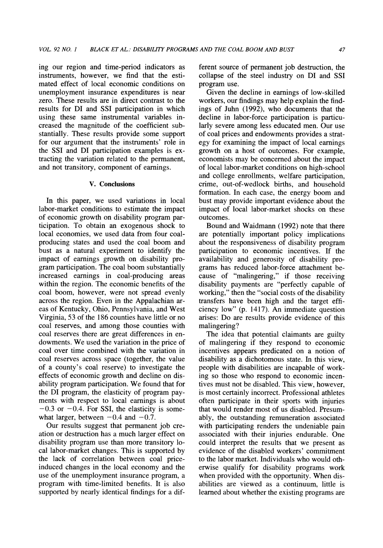**ing our region and time-period indicators as instruments, however, we find that the estimated effect of local economic conditions on unemployment insurance expenditures is near zero. These results are in direct contrast to the results for DI and SSI participation in which using these same instrumental variables increased the magnitude of the coefficient substantially. These results provide some support for our argument that the instruments' role in the SSI and DI participation examples is extracting the variation related to the permanent, and not transitory, component of earnings.** 

#### **V. Conclusions**

**In this paper, we used variations in local labor-market conditions to estimate the impact of economic growth on disability program participation. To obtain an exogenous shock to local economies, we used data from four coalproducing states and used the coal boom and bust as a natural experiment to identify the impact of earnings growth on disability program participation. The coal boom substantially increased earnings in coal-producing areas within the region. The economic benefits of the coal boom, however, were not spread evenly across the region. Even in the Appalachian areas of Kentucky, Ohio, Pennsylvania, and West Virginia, 53 of the 186 counties have little or no coal reserves, and among those counties with coal reserves there are great differences in endowments. We used the variation in the price of coal over time combined with the variation in coal reserves across space (together, the value of a county's coal reserve) to investigate the effects of economic growth and decline on disability program participation. We found that for the DI program, the elasticity of program payments with respect to local earnings is about**   $-0.3$  or  $-0.4$ . For SSI, the elasticity is somewhat larger, between  $-0.4$  and  $-0.7$ .

**Our results suggest that permanent job creation or destruction has a much larger effect on disability program use than more transitory local labor-market changes. This is supported by the lack of correlation between coal priceinduced changes in the local economy and the use of the unemployment insurance program, a program with time-limited benefits. It is also supported by nearly identical findings for a dif-** **ferent source of pernanent job destruction, the collapse of the steel industry on DI and SSI program use.** 

**Given the decline in earnings of low-skilled workers, our findings may help explain the findings of Juhn (1992), who documents that the decline in labor-force participation is particularly severe among less educated men. Our use of coal prices and endowments provides a strategy for examining the impact of local earnings growth on a host of outcomes. For example, economists may be concerned about the impact of local labor-market conditions on high-school and college enrollments, welfare participation, crime, out-of-wedlock births, and household formation. In each case, the energy boom and bust may provide important evidence about the impact of local labor-market shocks on these outcomes.** 

**Bound and Waidmann (1992) note that there are potentially important policy implications about the responsiveness of disability program participation to economic incentives. If the availability and generosity of disability programs has reduced labor-force attachment because of "malingering," if those receiving disability payments are "perfectly capable of working," then the "social costs of the disability transfers have been high and the target efficiency low" (p. 1417). An immediate question arises: Do are results provide evidence of this malingering?** 

**The idea that potential claimants are guilty of malingering if they respond to economic incentives appears predicated on a notion of disability as a dichotomous state. In this view, people with disabilities are incapable of working so those who respond to economic incentives must not be disabled. This view, however, is most certainly incorrect. Professional athletes often participate in their sports with injuries that would render most of us disabled. Presumably, the outstanding remuneration associated with participating renders the undeniable pain associated with their injuries endurable. One could interpret the results that we present as evidence of the disabled workers' commitment to the labor market. Individuals who would otherwise qualify for disability programs work when provided with the opportunity. When disabilities are viewed as a continuum, little is learned about whether the existing programs are**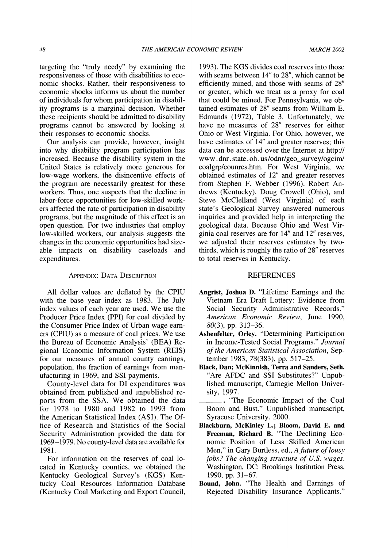**targeting the "truly needy" by examining the responsiveness of those with disabilities to economic shocks. Rather, their responsiveness to economic shocks informs us about the number of individuals for whom participation in disability programs is a marginal decision. Whether these recipients should be admitted to disability programs cannot be answered by looking at their responses to economic shocks.** 

**Our analysis can provide, however, insight into why disability program participation has increased. Because the disability system in the United States is relatively more generous for low-wage workers, the disincentive effects of the program are necessarily greatest for these workers. Thus, one suspects that the decline in labor-force opportunities for low-skilled workers affected the rate of participation in disability programs, but the magnitude of this effect is an open question. For two industries that employ low-skilled workers, our analysis suggests the changes in the economic opportunities had sizeable impacts on disability caseloads and expenditures.** 

## **APPENDIX: DATA DESCRIPTION**

**All dollar values are deflated by the CPIU with the base year index as 1983. The July index values of each year are used. We use the Producer Price Index (PPI) for coal divided by the Consumer Price Index of Urban wage earners (CPIU) as a measure of coal prices. We use the Bureau of Economic Analysis' (BEA) Regional Economic Information System (REIS) for our measures of annual county earnings, population, the fraction of earnings from manufacturing in 1969, and SSI payments.** 

**County-level data for DI expenditures was obtained from published and unpublished reports from the SSA. We obtained the data for 1978 to 1980 and 1982 to 1993 from the American Statistical Index (ASI). The Office of Research and Statistics of the Social Security Administration provided the data for 1969-1979. No county-level data are available for 1981.** 

**For information on the reserves of coal located in Kentucky counties, we obtained the Kentucky Geological Survey's (KGS) Kentucky Coal Resources Information Database (Kentucky Coal Marketing and Export Council,** 

**1993). The KGS divides coal reserves into those with seams between 14" to 28", which cannot be efficiently mined, and those with seams of 28" or greater, which we treat as a proxy for coal that could be mined. For Pennsylvania, we obtained estimates of 28" seams from William E. Edmunds (1972), Table 3. Unfortunately, we have no measures of 28" reserves for either Ohio or West Virginia. For Ohio, however, we have estimates of 14" and greater reserves; this data can be accessed over the Internet at http:// www . dnr. state . oh. us /odnr/geo\_survey/ogcim/ coalgrp/counres.htm. For West Virginia, we obtained estimates of 12" and greater reserves from Stephen F. Webber (1996). Robert Andrews (Kentucky), Doug Crowell (Ohio), and Steve McClelland (West Virginia) of each state's Geological Survey answered numerous inquiries and provided help in interpreting the geological data. Because Ohio and West Virginia coal reserves are for 14" and 12" reserves, we adjusted their reserves estimates by twothirds, which is roughly the ratio of 28" reserves to total reserves in Kentucky.** 

#### **REFERENCES**

- **Angrist, Joshua D. "Lifetime Earnings and the Vietnam Era Draft Lottery: Evidence from Social Security Administrative Records." American Economic Review, June 1990, 80(3), pp. 313-36.**
- **Ashenfelter, Orley. "Determining Participation in Income-Tested Social Programs." Journal of the American Statistical Association, September 1983, 78(383), pp. 517-25.**
- **Black, Dan; McKinnish, Terra and Sanders, Seth. "Are AFDC and SSI Substitutes?" Unpublished manuscript, Carnegie Mellon University, 1997.**

**. "The Economic Impact of the Coal Boom and Bust." Unpublished manuscript, Syracuse University. 2000.** 

- **Blackburn, McKinley L.; Bloom, David E. and Freeman, Richard B. "The Declining Economic Position of Less Skilled American Men," in Gary Burtless, ed., A future of lousy jobs? The changing structure of U.S. wages. Washington, DC: Brookings Institution Press, 1990, pp. 31-67.**
- **Bound, John. "The Health and Earnings of Rejected Disability Insurance Applicants."**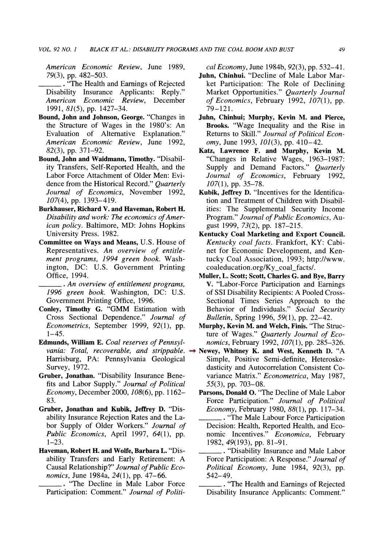**American Economic Review, June 1989, 79(3), pp. 482-503.** 

**.\_ "The Health and Earnings of Rejected Disability Insurance Applicants: Reply." American Economic Review, December 1991, 81(5), pp. 1427-34.** 

- **Bound, John and Johnson, George. "Changes in the Structure of Wages in the 1980's: An Evaluation of Alternative Explanation." American Economic Review, June 1992, 82(3), pp. 371-92.**
- **Bound, John and Waidmann, Timothy. "Disability Transfers, Self-Reported Health, and the Labor Force Attachment of Older Men: Evidence from the Historical Record." Quarterly Journal of Economics, November 1992, 107(4), pp. 1393-419.**
- **Burkhauser, Richard V. and Haveman, Robert H. Disability and work: The economics of American policy. Baltimore, MD: Johns Hopkins University Press. 1982.**
- **Committee on Ways and Means, U.S. House of Representatives. An overview of entitlement programs, 1994 green book. Washington, DC: U.S. Government Printing Office, 1994.**

**. An overview of entitlement programs, 1996 green book. Washington, DC: U.S. Government Printing Office, 1996.** 

- **Conley, Timothy G. "GMM Estimation with Cross Sectional Dependence." Journal of Econometrics, September 1999, 92(1), pp. 1-45.**
- Edmunds, William E. Coal reserves of Pennsyl**vania: Total, recoverable, and strippable. Harrisburg, PA: Pennsylvania Geological Survey, 1972.**
- **Gruber, Jonathan. "Disability Insurance Benefits and Labor Supply." Journal of Political Economy, December 2000, 108(6), pp. 1162- 83.**
- **Gruber, Jonathan and Kubik, Jeffrey D. "Disability Insurance Rejection Rates and the Labor Supply of Older Workers." Journal of Public Economics, April 1997, 64(1), pp. 1-23.**
- **Haveman, Robert H. and Wolfe, Barbara L. "Disability Transfers and Early Retirement: A Causal Relationship?" Journal of Public Economics, June 1984a, 24(1), pp. 47-66.**

**. "The Decline in Male Labor Force Participation: Comment." Journal of Politi-** **cal Economy, June 1984b, 92(3), pp. 532-41.** 

- **Juhn, Chinhui. "Decline of Male Labor Market Participation: The Role of Declining Market Opportunities." Quarterly Journal of Economics, February 1992, 107(1), pp. 79-121.**
- **Juhn, Chinhui; Murphy, Kevin M. and Pierce, Brooks. "Wage Inequality and the Rise in Returns to Skill." Journal of Political Economy, June 1993, 101(3), pp. 410-42.**
- **Katz, Lawrence F. and Murphy, Kevin M. "Changes in Relative Wages, 1963-1987: Supply and Demand Factors." Quarterly Journal of Economics, February 1992, 107(1), pp. 35-78.**
- **Kubik, Jeffrey D. "Incentives for the Identification and Treatment of Children with Disabilities: The Supplemental Security Income Program." Journal of Public Economics, August 1999, 73(2), pp. 187-215.**
- **Kentucky Coal Marketing and Export Council. Kentucky coal facts. Frankfort, KY: Cabinet for Economic Development, and Kentucky Coal Association, 1993; http://www. coaleducation.org/Ky-coal\_facts/.**
- **Muller, L. Scott; Scott, Charles G. and Bye, Barry V. "Labor-Force Participation and Earnings of SSI Disability Recipients: A Pooled Cross-Sectional Times Series Approach to the Behavior of Individuals." Social Security Bulletin, Spring 1996, 59(1), pp. 22-42.**
- **Murphy, Kevin M. and Welch, Finis. "The Structure of Wages." Quarterly Journal of Economics, February 1992, 107(1), pp. 285-326.**
- **Newey, Whitney K. and West, Kenneth D. "A Simple, Positive Semi-definite, Heteroskedasticity and Autocorrelation Consistent Covariance Matrix." Econometrica, May 1987, 55(3), pp. 703-08.** 
	- **Parsons, Donald 0. "The Decline of Male Labor Force Participation." Journal of Political Economy, February 1980, 88(1), pp. 117-34.**
	- **. "The Male Labour Force Participation Decision: Health, Reported Health, and Economic Incentives." Economica, February 1982, 49(193), pp. 81-91.**
	- **. "Disability Insurance and Male Labor Force Participation: A Response." Journal of Political Economy, June 1984, 92(3), pp. 542-49.**
	- **. "The Health and Earnings of Rejected Disability Insurance Applicants: Comment."**